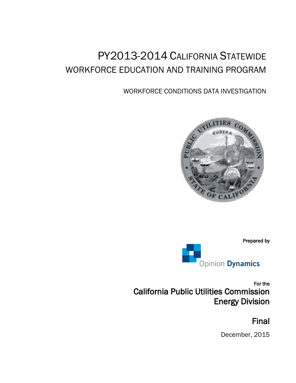# PY2013-2014 CALIFORNIA STATEWIDE WORKFORCE EDUCATION AND TRAINING PROGRAM

# WORKFORCE CONDITIONS DATA INVESTIGATION



Prepared by



For the California Public Utilities Commission Energy Division

# Final

December, 2015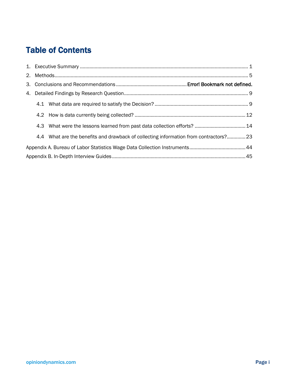# Table of Contents

|  | 4.4 What are the benefits and drawback of collecting information from contractors? 23 |  |
|--|---------------------------------------------------------------------------------------|--|
|  |                                                                                       |  |
|  |                                                                                       |  |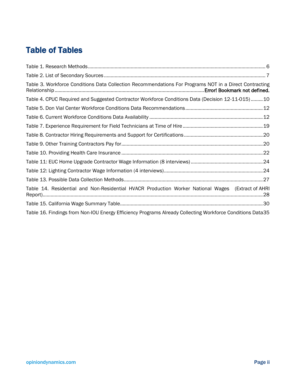# Table of Tables

| Table 3. Workforce Conditions Data Collection Recommendations For Programs NOT in a Direct Contracting    |  |
|-----------------------------------------------------------------------------------------------------------|--|
| Table 4. CPUC Required and Suggested Contractor Workforce Conditions Data (Decision 12-11-015)10          |  |
|                                                                                                           |  |
|                                                                                                           |  |
|                                                                                                           |  |
|                                                                                                           |  |
|                                                                                                           |  |
|                                                                                                           |  |
|                                                                                                           |  |
|                                                                                                           |  |
|                                                                                                           |  |
| Table 14. Residential and Non-Residential HVACR Production Worker National Wages (Extract of AHRI         |  |
|                                                                                                           |  |
| Table 16. Findings from Non-IOU Energy Efficiency Programs Already Collecting Workforce Conditions Data35 |  |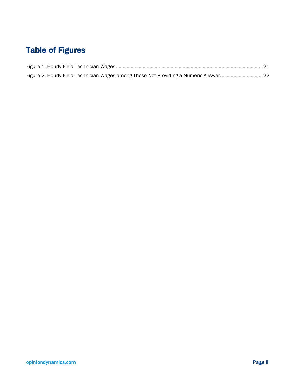# Table of Figures

| Figure 2. Hourly Field Technician Wages among Those Not Providing a Numeric Answer22 |  |
|--------------------------------------------------------------------------------------|--|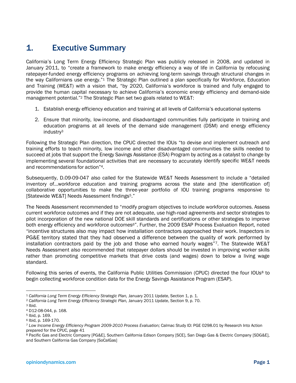# 1. Executive Summary

California's Long Term Energy Efficiency Strategic Plan was publicly released in 2008, and updated in January 2011, to "create a framework to make energy efficiency a way of life in California by refocusing ratepayer-funded energy efficiency programs on achieving long-term savings through structural changes in the way Californians use energy."<sup>1</sup> The Strategic Plan outlined a plan specifically for Workforce, Education and Training (WE&T) with a vision that, "by 2020, California's workforce is trained and fully engaged to provide the human capital necessary to achieve California's economic energy efficiency and demand-side management potential."<sup>2</sup> The Strategic Plan set two goals related to WE&T:

- 1. Establish energy efficiency education and training at all levels of California's educational systems
- 2. Ensure that minority, low-income, and disadvantaged communities fully participate in training and education programs at all levels of the demand side management (DSM) and energy efficiency industry3

Following the Strategic Plan direction, the CPUC directed the IOUs "to devise and implement outreach and training efforts to teach minority, low income and other disadvantaged communities the skills needed to succeed at jobs that support the Energy Savings Assistance (ESA) Program by acting as a catalyst to change by implementing several foundational activities that are necessary to accurately identify specific WE&T needs and recommendations for action"4.

Subsequently, D.09-09-047 also called for the Statewide WE&T Needs Assessment to include a "detailed inventory of…workforce education and training programs across the state and [the identification of] collaborative opportunities to make the three-year portfolio of IOU training programs responsive to [Statewide WE&T] Needs Assessment findings5."

The Needs Assessment recommended to "modify program objectives to include workforce outcomes. Assess current workforce outcomes and if they are not adequate, use high-road agreements and sector strategies to pilot incorporation of the new national DOE skill standards and certifications or other strategies to improve both energy efficiency and workforce outcomes<sup>6"</sup>. Further, the 2009 ESAP Process Evaluation Report, noted "incentive structures also may impact how installation contractors approached their work. Inspectors in PG&E territory stated that they had observed a difference between the quality of work performed by installation contractors paid by the job and those who earned hourly wages"7. The Statewide WE&T Needs Assessment also recommended that ratepayer dollars should be invested in improving worker skills rather than promoting competitive markets that drive costs (and wages) down to below a living wage standard.

Following this series of events, the California Public Utilities Commission (CPUC) directed the four IOUs8 to begin collecting workforce condition data for the Energy Savings Assistance Program (ESAP).

 <sup>1</sup> *California Long Term Energy Efficiency Strategic Plan,* January 2011 Update, Section 1, p. 1.

<sup>2</sup> *California Long Term Energy Efficiency Strategic Plan,* January 2011 Update, Section 9, p. 70.

 $3$  Ibid.

<sup>4</sup> D12-08-044, p. 168.

<sup>5</sup> Ibid, p. 169.

<sup>6</sup> Ibid, p. 169-170.

<sup>7</sup> *Low Income Energy Efficiency Program 2009-2010 Process Evaluation;* Calmac Study ID: PGE 0298.01 by Research Into Action prepared for the CPUC, page 41

<sup>8</sup> Pacific Gas and Electric Company [PG&E], Southern California Edison Company [SCE], San Diego Gas & Electric Company [SDG&E], and Southern California Gas Company [SoCalGas]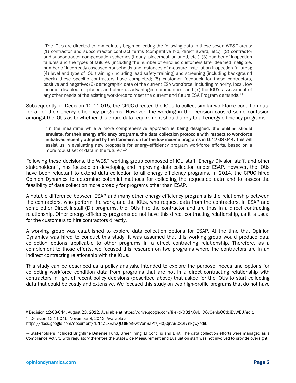"The IOUs are directed to immediately begin collecting the following data in these seven WE&T areas: (1) contractor and subcontractor contract terms (competitive bid, direct award, etc.); (2) contractor and subcontractor compensation schemes (hourly, piecemeal, salaried, etc.); (3) number of inspection failures and the types of failures (including the number of enrolled customers later deemed ineligible, number of incorrectly assessed households and instances of measure installation inspection failures); (4) level and type of IOU training (including lead safety training) and screening (including background check) these specific contractors have completed; (5) customer feedback for these contractors, positive and negative; (6) demographic data of the current ESA workforce, including minority, local, low income, disabled, displaced, and other disadvantaged communities; and (7) the IOU's assessment of any other needs of the existing workforce to meet the current and future ESA Program demands."<sup>9</sup>

Subsequently, in Decision 12-11-015, the CPUC directed the IOUs to collect similar workforce condition data for all of their energy efficiency programs. However, the wording in the Decision caused some confusion amongst the IOUs as to whether this entire data requirement should apply to all energy efficiency programs.

"In the meantime while a more comprehensive approach is being designed, the utilities should emulate, for their energy efficiency programs, the data collection protocols with respect to workforce initiatives recently adopted by the Commission for the low-income programs in D.12-08-044. This will assist us in evaluating new proposals for energy-efficiency program workforce efforts, based on a more robust set of data in the future."<sup>10</sup>

Following these decisions, the WE&T working group composed of IOU staff, Energy Division staff, and other stakeholders<sup>11</sup>, has focused on developing and improving data collection under ESAP. However, the IOUs have been reluctant to extend data collection to all energy efficiency programs. In 2014, the CPUC hired Opinion Dynamics to determine potential methods for collecting the requested data and to assess the feasibility of data collection more broadly for programs other than ESAP.

A notable difference between ESAP and many other energy efficiency programs is the relationship between the contractors, who perform the work, and the IOUs, who request data from the contractors. In ESAP and some other Direct Install (DI) programs, the IOUs hire the contractor and are thus in a direct contracting relationship. Other energy efficiency programs do not have this direct contracting relationship, as it is usual for the customers to hire contractors directly.

A working group was established to explore data collection options for ESAP. At the time that Opinion Dynamics was hired to conduct this study, it was assumed that this working group would produce data collection options applicable to other programs in a direct contracting relationship. Therefore, as a complement to those efforts, we focused this research on two programs where the contractors are in an indirect contracting relationship with the IOUs.

This study can be described as a policy analysis, intended to explore the purpose, needs and options for collecting workforce condition data from programs that are not in a direct contracting relationship with contractors in light of recent policy decisions (described above) that asked for the IOUs to start collecting data that could be costly and extensive. We focused this study on two high-profile programs that do not have

 <sup>9</sup> Decision 12-08-044, August 23, 2012. Available at https://drive.google.com/file/d/0B1N0yUljD6yQenlqQ0tlcjBvWEU/edit.

<sup>10</sup> Decision 12-11-015, November 8, 2012. Available at

https://docs.google.com/document/d/11ZLXEZwQLGlBor9wzVenBZPzzjFkQ0jnA9D82l7nkgw/edit.

<sup>11</sup> Stakeholders included Brightline Defense Fund, Greenlining, El Concilio and DRA. The data collection efforts were managed as a Compliance Activity with regulatory therefore the Statewide Measurement and Evaluation staff was not involved to provide oversight.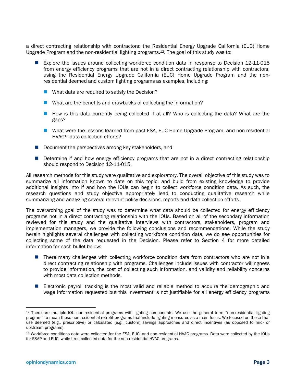a direct contracting relationship with contractors: the Residential Energy Upgrade California (EUC) Home Upgrade Program and the non-residential lighting programs.12. The goal of this study was to:

- Explore the issues around collecting workforce condition data in response to Decision 12-11-015 from energy efficiency programs that are not in a direct contracting relationship with contractors, using the Residential Energy Upgrade California (EUC) Home Upgrade Program and the nonresidential deemed and custom lighting programs as examples, including:
	- What data are required to satisfy the Decision?
	- What are the benefits and drawbacks of collecting the information?
	- $\blacksquare$  How is this data currently being collected if at all? Who is collecting the data? What are the gaps?
	- What were the lessons learned from past ESA, EUC Home Upgrade Program, and non-residential HVAC13 data collection efforts?
- $\blacksquare$  Document the perspectives among key stakeholders, and
- **Determine if and how energy efficiency programs that are not in a direct contracting relationship** should respond to Decision 12-11-015.

All research methods for this study were qualitative and exploratory. The overall objective of this study was to summarize all information known to date on this topic; and build from existing knowledge to provide additional insights into if and how the IOUs can begin to collect workforce condition data. As such, the research questions and study objective appropriately lead to conducting qualitative research while summarizing and analyzing several relevant policy decisions, reports and data collection efforts.

The overarching goal of the study was to determine what data should be collected for energy efficiency programs not in a direct contracting relationship with the IOUs. Based on all of the secondary information reviewed for this study and the qualitative interviews with contractors, stakeholders, program and implementation managers, we provide the following conclusions and recommendations. While the study herein highlights several challenges with collecting workforce condition data, we do see opportunities for collecting some of the data requested in the Decision. Please refer to Section 4 for more detailed information for each bullet below:

- There many challenges with collecting workforce condition data from contractors who are not in a direct contracting relationship with programs. Challenges include issues with contractor willingness to provide information, the cost of collecting such information, and validity and reliability concerns with most data collection methods.
- Electronic payroll tracking is the most valid and reliable method to acquire the demographic and wage information requested but this investment is not justifiable for all energy efficiency programs

 <sup>12</sup> There are multiple IOU non-residential programs with lighting components. We use the general term "non-residential lighting program" to mean those non-residential retrofit programs that include lighting measures as a main focus. We focused on those that use deemed (e.g., prescriptive) or calculated (e.g., custom) savings approaches and direct incentives (as opposed to mid- or upstream programs).

<sup>13</sup> Workforce conditions data were collected for the ESA, EUC, and non-residential HVAC programs. Data were collected by the IOUs for ESAP and EUC, while Itron collected data for the non-residential HVAC programs.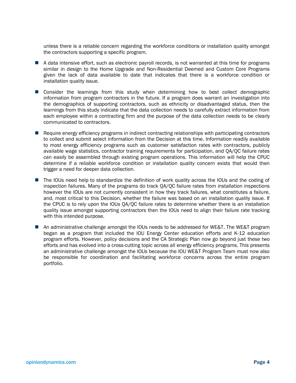unless there is a reliable concern regarding the workforce conditions or installation quality amongst the contractors supporting a specific program.

- A data intensive effort, such as electronic payroll records, is not warranted at this time for programs similar in design to the Home Upgrade and Non-Residential Deemed and Custom Core Programs given the lack of data available to date that indicates that there is a workforce condition or installation quality issue.
- **E** Consider the learnings from this study when determining how to best collect demographic information from program contractors in the future. If a program does warrant an investigation into the demographics of supporting contractors, such as ethnicity or disadvantaged status, then the learnings from this study indicate that the data collection needs to carefully extract information from each employee within a contracting firm and the purpose of the data collection needs to be clearly communicated to contractors.
- Require energy efficiency programs in indirect contracting relationships with participating contractors to collect and submit select information from the Decision at this time. Information readily available to most energy efficiency programs such as customer satisfaction rates with contractors, publicly available wage statistics, contractor training requirements for participation, and QA/QC failure rates can easily be assembled through existing program operations. This information will help the CPUC determine if a reliable workforce condition or installation quality concern exists that would then trigger a need for deeper data collection.
- The IOUs need help to standardize the definition of work quality across the IOUs and the coding of inspection failures. Many of the programs do track QA/QC failure rates from installation inspections however the IOUs are not currently consistent in how they track failures, what constitutes a failure, and, most critical to this Decision, whether the failure was based on an installation quality issue. If the CPUC is to rely upon the IOUs QA/QC failure rates to determine whether there is an installation quality issue amongst supporting contractors then the IOUs need to align their failure rate tracking with this intended purpose.
- An administrative challenge amongst the IOUs needs to be addressed for WE&T. The WE&T program began as a program that included the IOU Energy Center education efforts and K-12 education program efforts. However, policy decisions and the CA Strategic Plan now go beyond just these two efforts and has evolved into a cross-cutting topic across all energy efficiency programs. This presents an administrative challenge amongst the IOUs because the IOU WE&T Program Team must now also be responsible for coordination and facilitating workforce concerns across the entire program portfolio.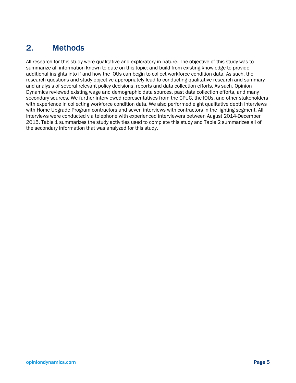# 2. Methods

All research for this study were qualitative and exploratory in nature. The objective of this study was to summarize all information known to date on this topic; and build from existing knowledge to provide additional insights into if and how the IOUs can begin to collect workforce condition data. As such, the research questions and study objective appropriately lead to conducting qualitative research and summary and analysis of several relevant policy decisions, reports and data collection efforts. As such, Opinion Dynamics reviewed existing wage and demographic data sources, past data collection efforts, and many secondary sources. We further interviewed representatives from the CPUC, the IOUs, and other stakeholders with experience in collecting workforce condition data. We also performed eight qualitative depth interviews with Home Upgrade Program contractors and seven interviews with contractors in the lighting segment. All interviews were conducted via telephone with experienced interviewers between August 2014-December 2015. Table 1 summarizes the study activities used to complete this study and Table 2 summarizes all of the secondary information that was analyzed for this study.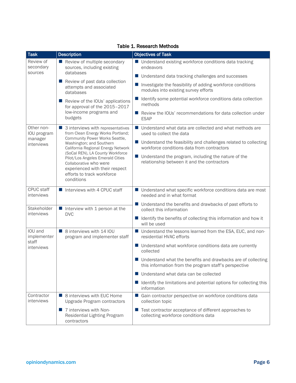| <b>Task</b>                          | <b>Description</b>                                                                                                                                                           | <b>Objectives of Task</b>                                                                                               |
|--------------------------------------|------------------------------------------------------------------------------------------------------------------------------------------------------------------------------|-------------------------------------------------------------------------------------------------------------------------|
| Review of<br>secondary               | Review of multiple secondary<br>sources, including existing                                                                                                                  | ■ Understand existing workforce conditions data tracking<br>endeavors                                                   |
| sources                              | databases                                                                                                                                                                    | Understand data tracking challenges and successes                                                                       |
|                                      | Review of past data collection<br>attempts and associated<br>databases                                                                                                       | Investigate the feasibility of adding workforce conditions<br>modules into existing survey efforts                      |
|                                      | Review of the IOUs' applications<br>for approval of the 2015-2017                                                                                                            | Identify some potential workforce conditions data collection<br>methods                                                 |
|                                      | low-income programs and<br>budgets                                                                                                                                           | Review the IOUs' recommendations for data collection under<br>a a<br><b>ESAP</b>                                        |
| Other non-<br>IOU program<br>manager | ■ 3 interviews with representatives<br>from Clean Energy Works Portland;                                                                                                     | Understand what data are collected and what methods are<br>ш<br>used to collect the data                                |
| interviews                           | Community Power Works Seattle,<br>Washington; and Southern<br>California Regional Energy Network                                                                             | Understand the feasibility and challenges related to collecting<br>a an<br>workforce conditions data from contractors   |
|                                      | (SoCal REN), LA County Workforce<br>Pilot/Los Angeles Emerald Cities<br>Collaborative who were<br>experienced with their respect<br>efforts to track workforce<br>conditions | Understand the program, including the nature of the<br>a an<br>relationship between it and the contractors              |
| CPUC staff<br>interviews             | Interviews with 4 CPUC staff                                                                                                                                                 | ■ Understand what specific workforce conditions data are most<br>needed and in what format                              |
| Stakeholder                          | Interview with 1 person at the                                                                                                                                               | Understand the benefits and drawbacks of past efforts to<br>collect this information                                    |
| interviews                           | <b>DVC</b>                                                                                                                                                                   | Identify the benefits of collecting this information and how it<br>will be used                                         |
| IOU and<br>implementer               | 8 interviews with 14 IOU<br>program and implementer staff                                                                                                                    | Understand the lessons learned from the ESA, EUC, and non-<br>residential HVAC efforts                                  |
| staff<br>interviews                  |                                                                                                                                                                              | Understand what workforce conditions data are currently<br><b>The State</b><br>collected                                |
|                                      |                                                                                                                                                                              | ■ Understand what the benefits and drawbacks are of collecting<br>this information from the program staff's perspective |
|                                      |                                                                                                                                                                              | ■ Understand what data can be collected                                                                                 |
|                                      |                                                                                                                                                                              | Identify the limitations and potential options for collecting this<br>information                                       |
| Contractor<br>interviews             | ■ 8 interviews with EUC Home<br>Upgrade Program contractors                                                                                                                  | Gain contractor perspective on workforce conditions data<br>collection topic                                            |
|                                      | 7 interviews with Non-<br><b>In</b><br>Residential Lighting Program<br>contractors                                                                                           | ■ Test contractor acceptance of different approaches to<br>collecting workforce conditions data                         |

#### Table 1. Research Methods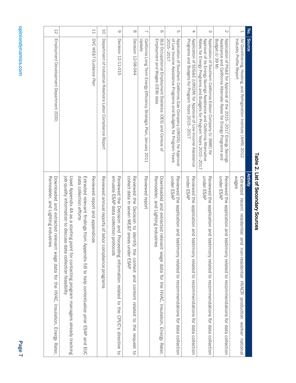| I<br>i<br>I |
|-------------|
| l<br>ī      |
| :<br>?      |
|             |
|             |
|             |
|             |
|             |
| ۱           |
|             |
|             |
|             |
|             |

| Remodeler, and Lighting industries<br>Downloaded and extracted relevant wage data for the HVAC, Insulation, Energy Rater,                                                                                                                                 | Employment Development Department (EDD)                                                                                                                                                                     | $\overline{5}$           |
|-----------------------------------------------------------------------------------------------------------------------------------------------------------------------------------------------------------------------------------------------------------|-------------------------------------------------------------------------------------------------------------------------------------------------------------------------------------------------------------|--------------------------|
| job quality information to discuss data collection feasibility<br>Used Appendix 4A as a starting<br>point for contacting program managers already tracking                                                                                                |                                                                                                                                                                                                             |                          |
| data collection efforts<br>EXIENTED OF BOOK DE ALSE THE STATE SUPPOSE SOLONG A SUPPOSE SUPPOSE SANCENTED OF THE STATE SANCENT SUPPOSE SUPPOSE SOLONG SUPPOSE SUPPOSE SUPPOSE SUPPOSE SUPPOSE SUPPOSE SUPPOSE SUPPOSE SUPPOSE SUPPOSE SUPPOSE SUPPOSE SUPP |                                                                                                                                                                                                             |                          |
| Reviewed report and appendices                                                                                                                                                                                                                            | DVC WE&T Guidance Plan                                                                                                                                                                                      | ΓŢ                       |
| Reviewed annual reports of labor compliance programs                                                                                                                                                                                                      | Department of Industrial Relations Labor Compliance Report                                                                                                                                                  | 50                       |
| emulate ESAP data collection protocols<br>Reviewed the Decision and Proceeding information relation and to the CPUC's directive to                                                                                                                        | Decision 12-11-015                                                                                                                                                                                          | $\circ$                  |
| collect data in seven WE&T areas under ESAP<br>Reviewed the Decision to identify the context and content related to the request to                                                                                                                        | Decision 12-08-044                                                                                                                                                                                          | $\infty$                 |
| Reviewed report                                                                                                                                                                                                                                           | Update<br>California Long Term Energy Efficiency Strategic Plan, January 2011                                                                                                                               | $\overline{\phantom{0}}$ |
| Remodeler, and Lighting industries<br>Downloaded and extracted relevant wage data for the HVAC, Insulation, Energy Rater,                                                                                                                                 | Employment and Wages (CEW) data<br>BLS Occupational Employment Statistics (OES) and Census of                                                                                                               | $\infty$                 |
| under ESAP<br>Reviewed the application and testimony related to recommendations of data collection                                                                                                                                                        | Application of Southern California Gas Company (U902G) for Approval<br>2015-2017<br>of Low Income Assistance Programs and Budgets for Program Years                                                         | CΠ                       |
| under ESAP<br>Reviewed the<br>application and testimony related to recommendations for data collection                                                                                                                                                    | Application of SDG&E (U902M) for Approval of Low Income Assistance<br>Programs and Budgets for Program Years 2015-2017                                                                                      | 4                        |
| under ESAP<br>Reviewed the<br>application and testimony related to recommendations for data collection                                                                                                                                                    | Application of Southern California Edison Company (U 388E) for<br>Approval of its Energy Savings Assistance and California Alternative<br>Rates for Energy Programs and Budgets for Program Years 2015-2017 | ω                        |
| under ESAP<br>Reviewed the application and testimulated to recommendation and testion and the seven collection                                                                                                                                            | Application of PG&E for Approval of the 2015-2017 Energy Savings<br>Budget (U39 M)<br>Assistance and California Alternate Rates for Energy Programs and                                                     | $\sim$                   |
| wages<br>Extracted<br>recent residential a<br>pu<br>non-residential HVACR production worker national                                                                                                                                                      | Air Conditioning, Heating, and Refrigeration Institute (AHRI) 2012<br>Industry Profile Report                                                                                                               | $\mapsto$                |
| Activity                                                                                                                                                                                                                                                  | No.<br><b>Source</b>                                                                                                                                                                                        |                          |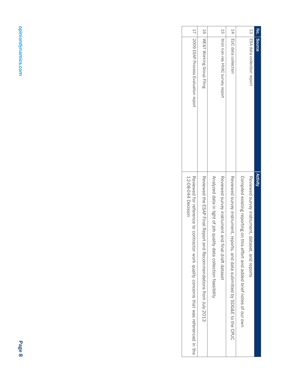| 11                                                                                                               | $\frac{1}{9}$                                                     |                                                           | 5h                                                 | 14                                                                           |                                                                            | 53                                               | No.      |
|------------------------------------------------------------------------------------------------------------------|-------------------------------------------------------------------|-----------------------------------------------------------|----------------------------------------------------|------------------------------------------------------------------------------|----------------------------------------------------------------------------|--------------------------------------------------|----------|
| USOO RAP Process Evaluation report                                                                               | WE&T Working Group Filing                                         |                                                           | Itron non-res HVAC survey report                   | EUC data collection                                                          |                                                                            | ESA data collection report                       | Source   |
| 12-08-044 Decision<br>Reviewed for reflerence to contraction xork quality concerns that was a reflerenced in the | Keyiewed the ECAP Final Keport and Kecommendations from July 2013 | Analyzed data in light of job data collection teasibility | Reviewed acryex instrument and final draft dataset | Reviewed survey instrument, reports, and data submitted by SDG&E to the CPUC | Complied existing reporting on this effort and added prief notes of onlown | Reviewed survey instrument, dataset, and reports | Activity |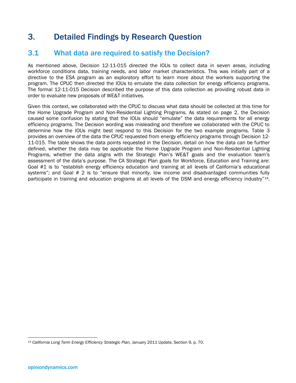# 3. Detailed Findings by Research Question

### 3.1 What data are required to satisfy the Decision?

As mentioned above, Decision 12-11-015 directed the IOUs to collect data in seven areas, including workforce conditions data, training needs, and labor market characteristics. This was initially part of a directive to the ESA program as an exploratory effort to learn more about the workers supporting the program. The CPUC then directed the IOUs to emulate the data collection for energy efficiency programs. The formal 12-11-015 Decision described the purpose of this data collection as providing robust data in order to evaluate new proposals of WE&T initiatives.

Given this context, we collaborated with the CPUC to discuss what data should be collected at this time for the Home Upgrade Program and Non-Residential Lighting Programs. As stated on page 2, the Decision caused some confusion by stating that the IOUs should "emulate" the data requirements for all energy efficiency programs. The Decision wording was misleading and therefore we collaborated with the CPUC to determine how the IOUs might best respond to this Decision for the two example programs. Table 3 provides an overview of the data the CPUC requested from energy efficiency programs through Decision 12- 11-015. The table shows the data points requested in the Decision, detail on how the data can be further defined, whether the data may be applicable the Home Upgrade Program and Non-Residential Lighting Programs, whether the data aligns with the Strategic Plan's WE&T goals and the evaluation team's assessment of the data's purpose. The CA Strategic Plan goals for Workforce, Education and Training are: Goal #1 is to "establish energy efficiency education and training at all levels of California's educational systems"; and Goal # 2 is to "ensure that minority, low income and disadvantaged communities fully participate in training and education programs at all levels of the DSM and energy efficiency industry"<sup>14</sup>.

 <sup>14</sup> *California Long Term Energy Efficiency Strategic Plan,* January 2011 Update, Section 9, p. 70.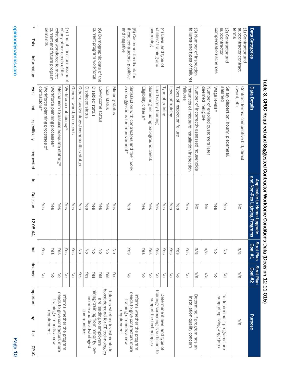| Data Categories                                                         | Data Details                                                                     | and Non-Res Lighting Programs<br>Applicable to Home Upgrade | <b>Strat Plan</b><br><b>Coal #1</b> | <b>Strat Plan</b><br>Goal #2 | <b>Purpose</b>                                                                                          |
|-------------------------------------------------------------------------|----------------------------------------------------------------------------------|-------------------------------------------------------------|-------------------------------------|------------------------------|---------------------------------------------------------------------------------------------------------|
| subcontractor contract<br>terms<br>(1) Contractor and                   | award, etc.<br>Contract terms: competitive bid, direct                           | No                                                          | n/a                                 | n/a                          | n/a                                                                                                     |
| subcontractor<br>(2) Contractor and                                     | salaried<br>Salary dispersion: hourly, piecemeal,                                | Yes                                                         | $\leq$                              | $\leq$                       | To determine if programs are                                                                            |
| compensation schemes                                                    | Wage levels*                                                                     | Yes                                                         | No                                  | $\leq$                       | supporting living wage jobs                                                                             |
|                                                                         | deemed ineligible<br>Number of enrolled customers later                          | No                                                          | n/a                                 | n/a                          |                                                                                                         |
| (3) Number of inspection                                                | Number of incorrectly assessed households                                        | $\leq$                                                      | n/a                                 | n/a                          | Determine if program has an                                                                             |
| failures and types of failures                                          | failures<br>Instances of measure installation inspection                         | Yes                                                         | Yes                                 | $\leq$                       | installation quality concern                                                                            |
|                                                                         | Types of inspection failure                                                      | Yes                                                         | Yes                                 | $\leq$                       |                                                                                                         |
|                                                                         | Level of training                                                                | Yes                                                         | Yes                                 | δ                            |                                                                                                         |
| (4) Level and type of                                                   | Type of training                                                                 | Yes                                                         | Yes                                 | $\leq$                       | Determine if level and type of                                                                          |
| utilities' training and                                                 | Lead safety training                                                             | Yes                                                         | Yes                                 | $\leq$                       | training/screening is sufficient to                                                                     |
| screening                                                               | Screening including background check                                             | Yes                                                         | Yes                                 | $\leq$                       | support the technologies                                                                                |
|                                                                         | Eligibility criteria*                                                            | Yes                                                         | Yes                                 | $\leq$                       |                                                                                                         |
| and negative<br>these contractors, positive<br>5) Customer feedback for | and suggestions for improvement*<br>Satisfaction with contractors and their work | Yes                                                         | Yes                                 | $\leq$                       | needs to give contractors more<br>Informs whether the program<br>training or needs a new<br>requirement |
|                                                                         | Minority status                                                                  | Yes                                                         | δ                                   | Yes                          |                                                                                                         |
|                                                                         | Local status                                                                     | Yes                                                         | $\leq$                              | Yes                          | boost demand for EE technologies<br>Informs whether investments to                                      |
| (6) Demographic data of the                                             | Low-income status                                                                | Yes                                                         | $\leq$                              | Yes                          | are leading to employers                                                                                |
| current program workforce                                               | Disabled status                                                                  | Yes                                                         | $\leq$                              | Yes                          | hiring/training from minority, low-                                                                     |
|                                                                         | Displaced status                                                                 | Yes                                                         | $\leq$                              | Yes                          | income and disadvantaged<br>communities                                                                 |
|                                                                         | Other disadvantaged communities status                                           | Yes                                                         | $\leq$                              | Yes                          |                                                                                                         |
|                                                                         | General workforce needs                                                          | Yes                                                         | Yes                                 | $\leq$                       |                                                                                                         |
| (7) The utilities' assessment                                           | Workforce sufficiency*                                                           | Yes                                                         | Yes                                 | $\leq$                       | Informs whether the program                                                                             |
| existing workforce to meet<br>of any other needs of the                 | Mechanism to assess adequate staffing*                                           | Yes                                                         | Yes                                 | $\leq$                       | needs to give contractors more                                                                          |
| current and future program                                              | Workforce planning processes*                                                    | Yes                                                         | Yes                                 | $\leq$                       | training or needs a new                                                                                 |
| demands                                                                 | contractors*<br>Workforce planning processes of                                  | Yes                                                         | Yes                                 | $\leq$                       | requirement                                                                                             |
| *<br><b>This</b><br>information                                         | sem<br>pot<br>specifically<br>requested                                          | Б<br>Decision<br>12-08-44,                                  | put                                 | deemed                       | important<br>Q<br>the<br>CPUC.                                                                          |

# Table 3. CPUC Required and Suggested Contractor Workforce Conditions Data (Decision 12-11-015) Table 3. CPUC Required and Suggested Contractor Workforce Conditions Data (Decision 12-11-015)

Page 10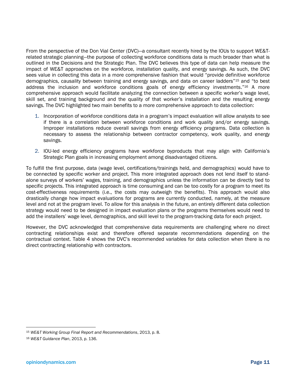From the perspective of the Don Vial Center (DVC)—a consultant recently hired by the IOUs to support WE&Trelated strategic planning—the purpose of collecting workforce conditions data is much broader than what is outlined in the Decisions and the Strategic Plan. The DVC believes this type of data can help measure the impact of WE&T approaches on the workforce, installation quality, and energy savings. As such, the DVC sees value in collecting this data in a more comprehensive fashion that would "provide definitive workforce demographics, causality between training and energy savings, and data on career ladders"<sup>15</sup> and "to best address the inclusion and workforce conditions goals of energy efficiency investments."<sup>16</sup> A more comprehensive approach would facilitate analyzing the connection between a specific worker's wage level, skill set, and training background and the quality of that worker's installation and the resulting energy savings. The DVC highlighted two main benefits to a more comprehensive approach to data collection:

- 1. Incorporation of workforce conditions data in a program's impact evaluation will allow analysts to see if there is a correlation between workforce conditions and work quality and/or energy savings. Improper installations reduce overall savings from energy efficiency programs. Data collection is necessary to assess the relationship between contractor competency, work quality, and energy savings.
- 2. IOU-led energy efficiency programs have workforce byproducts that may align with California's Strategic Plan goals in increasing employment among disadvantaged citizens.

To fulfill the first purpose, data (wage level, certifications/trainings held, and demographics) would have to be connected by specific worker and project. This more integrated approach does not lend itself to standalone surveys of workers' wages, training, and demographics unless the information can be directly tied to specific projects. This integrated approach is time consuming and can be too costly for a program to meet its cost-effectiveness requirements (i.e., the costs may outweigh the benefits). This approach would also drastically change how impact evaluations for programs are currently conducted, namely, at the measure level and not at the program level. To allow for this analysis in the future, an entirely different data collection strategy would need to be designed in impact evaluation plans or the programs themselves would need to add the installers' wage level, demographics, and skill level to the program-tracking data for each project.

However, the DVC acknowledged that comprehensive data requirements are challenging where no direct contracting relationships exist and therefore offered separate recommendations depending on the contractual context. Table 4 shows the DVC's recommended variables for data collection when there is no direct contracting relationship with contractors.

 <sup>15</sup> *WE&T Working Group Final Report and Recommendations*, 2013, p. 8.

<sup>16</sup> *WE&T Guidance Plan*, 2013, p. 136.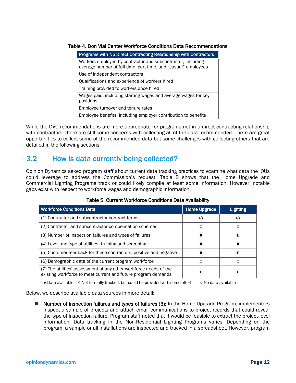#### Table 4. Don Vial Center Workforce Conditions Data Recommendations

| <b>Programs with No Direct Contracting Relationship with Contractors</b>                                                      |
|-------------------------------------------------------------------------------------------------------------------------------|
| Workers employed by contractor and subcontractor, including<br>average number of full-time, part-time, and "casual" employees |
| Use of independent contractors                                                                                                |
| Qualifications and experience of workers hired                                                                                |
| Training provided to workers once hired                                                                                       |
| Wages paid, including starting wages and average wages for key<br>positions                                                   |
| Employee turnover and tenure rates                                                                                            |
| Employee benefits, including employer contribution to benefits                                                                |

While the DVC recommendations are more appropriate for programs not in a direct contracting relationship with contractors, there are still some concerns with collecting all of the data recommended. There are great opportunities to collect some of the recommended data but some challenges with collecting others that are detailed in the following sections.

### 3.2 How is data currently being collected?

Opinion Dynamics asked program staff about current data tracking practices to examine what data the IOUs could leverage to address the Commission's request. Table 5 shows that the Home Upgrade and Commercial Lighting Programs track or could likely compile at least some information. However, notable gaps exist with respect to workforce wages and demographic information.

| <b>Workforce Conditions Data</b>                                                                                                   | <b>Home Upgrade</b> | Lighting |
|------------------------------------------------------------------------------------------------------------------------------------|---------------------|----------|
| (1) Contractor and subcontractor contract terms                                                                                    | n/a                 | n/a      |
| (2) Contractor and subcontractor compensation schemes                                                                              |                     |          |
| (3) Number of inspection failures and types of failures                                                                            |                     |          |
| (4) Level and type of utilities' training and screening                                                                            |                     |          |
| (5) Customer feedback for these contractors, positive and negative                                                                 |                     |          |
| (6) Demographic data of the current program workforce                                                                              |                     |          |
| (7) The utilities' assessment of any other workforce needs of the<br>existing workforce to meet current and future program demands |                     |          |

#### Table 5. Current Workforce Conditions Data Availability

● Data available ◐ Not formally tracked, but could be provided with some effort ○ No data available

Below, we describe available data sources in more detail:

■ Number of inspection failures and types of failures (3): In the Home Upgrade Program, implementers inspect a sample of projects and attach email communications to project records that could reveal the type of inspection failure. Program staff noted that it would be feasible to extract the project-level information. Data tracking in the Non-Residential Lighting Programs varies. Depending on the program, a sample or all installations are inspected and tracked in a spreadsheet. However, program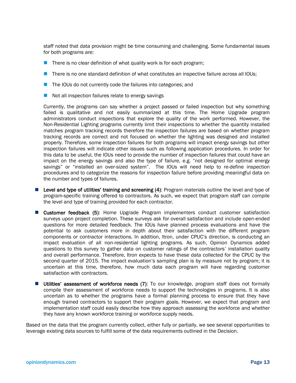staff noted that data provision might be time consuming and challenging. Some fundamental issues for both programs are:

- $\blacksquare$  There is no clear definition of what quality work is for each program;
- **There is no one standard definition of what constitutes an inspective failure across all IOUs;**
- The IOUs do not currently code the failures into categories; and
- $\blacksquare$  Not all inspection failures relate to energy savings

Currently, the programs can say whether a project passed or failed inspection but why something failed is qualitative and not easily summarized at this time. The Home Upgrade program administrators conduct inspections that explore the quality of the work performed. However, the Non-Residential Lighting programs currently limit their inspections to whether the quantity installed matches program tracking records therefore the inspection failures are based on whether program tracking records are correct and not focused on whether the lighting was designed and installed properly. Therefore, some inspection failures for both programs will impact energy savings but other inspection failures will indicate other issues such as following application procedures. In order for this data to be useful, the IOUs need to provide the number of inspection failures that could have an impact on the energy savings and also the type of failure, e.g. "not designed for optimal energy savings" or "installed an over-sized system". The IOUs will need help to re-define inspection procedures and to categorize the reasons for inspection failure before providing meaningful data on the number and types of failures.

- Level and type of utilities' training and screening  $(4)$ : Program materials outline the level and type of program-specific training offered to contractors. As such, we expect that program staff can compile the level and type of training provided for each contractor.
- Customer feedback (5): Home Upgrade Program implementers conduct customer satisfaction surveys upon project completion. These surveys ask for overall satisfaction and include open-ended questions for more detailed feedback. The IOUs have planned process evaluations and have the potential to ask customers more in depth about their satisfaction with the different program components or contractor interactions. In addition, Itron, under CPUC's direction, is conducting an impact evaluation of all non-residential lighting programs. As such, Opinion Dynamics added questions to this survey to gather data on customer ratings of the contractors' installation quality and overall performance. Therefore, Itron expects to have these data collected for the CPUC by the second quarter of 2015. The impact evaluation's sampling plan is by measure not by program; it is uncertain at this time, therefore, how much data each program will have regarding customer satisfaction with contractors.
- **Utilities' assessment of workforce needs (7):** To our knowledge, program staff does not formally compile their assessment of workforce needs to support the technologies in programs. It is also uncertain as to whether the programs have a formal planning process to ensure that they have enough trained contractors to support their program goals. However, we expect that program and implementation staff could easily describe how they approach assessing the workforce and whether they have any known workforce training or workforce supply needs.

Based on the data that the program currently collect, either fully or partially, we see several opportunities to leverage existing data sources to fulfill some of the data requirements outlined in the Decision.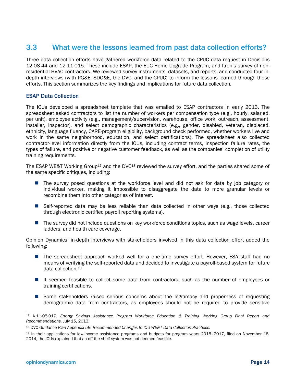# 3.3 What were the lessons learned from past data collection efforts?

Three data collection efforts have gathered workforce data related to the CPUC data request in Decisions 12-08-44 and 12-11-015. These include ESAP, the EUC Home Upgrade Program, and Itron's survey of nonresidential HVAC contractors. We reviewed survey instruments, datasets, and reports, and conducted four indepth interviews (with PG&E, SDG&E, the DVC, and the CPUC) to inform the lessons learned through these efforts. This section summarizes the key findings and implications for future data collection.

#### ESAP Data Collection

The IOUs developed a spreadsheet template that was emailed to ESAP contractors in early 2013. The spreadsheet asked contractors to list the number of workers per compensation type (e.g., hourly, salaried, per unit), employee activity (e.g., management/supervision, warehouse, office work, outreach, assessment, installer, inspector), and select demographic characteristics (e.g., gender, disabled, veteran, displaced, ethnicity, language fluency, CARE-program eligibility, background check performed, whether workers live and work in the same neighborhood, education, and select certifications). The spreadsheet also collected contractor-level information directly from the IOUs, including contract terms, inspection failure rates, the types of failure, and positive or negative customer feedback, as well as the companies' completion of utility training requirements.

The ESAP WE&T Working Group<sup>17</sup> and the DVC<sup>18</sup> reviewed the survey effort, and the parties shared some of the same specific critiques, including:

- **The survey posed questions at the workforce level and did not ask for data by job category or** individual worker, making it impossible to disaggregate the data to more granular levels or recombine them into other categories of interest.
- **Self-reported data may be less reliable than data collected in other ways (e.g., those collected** through electronic certified payroll reporting systems).
- The survey did not include questions on key workforce conditions topics, such as wage levels, career ladders, and health care coverage.

Opinion Dynamics' in-depth interviews with stakeholders involved in this data collection effort added the following:

- The spreadsheet approach worked well for a one-time survey effort. However, ESA staff had no means of verifying the self-reported data and decided to investigate a payroll-based system for future data collection.19
- It seemed feasible to collect some data from contractors, such as the number of employees or training certifications.
- **Some stakeholders raised serious concerns about the legitimacy and properness of requesting** demographic data from contractors, as employees should not be required to provide sensitive

 <sup>17</sup> A.11-05-017. *Energy Savings Assistance Program Workforce Education & Training Working Group Final Report and Recommendations.* July 15, 2013.

<sup>18</sup> DVC *Guidance Plan Appendix 5B: Recommended Changes to IOU WE&T Data Collection Practices.*

<sup>19</sup> In their applications for low-income assistance programs and budgets for program years 2015–2017, filed on November 18, 2014, the IOUs explained that an off-the-shelf system was not deemed feasible.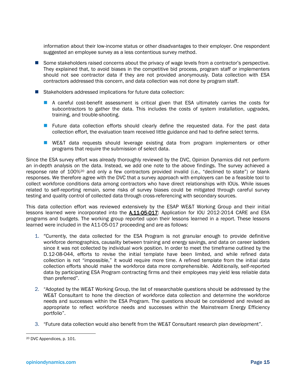information about their low-income status or other disadvantages to their employer. One respondent suggested an employee survey as a less contentious survey method.

- Some stakeholders raised concerns about the privacy of wage levels from a contractor's perspective. They explained that, to avoid biases in the competitive bid process, program staff or implementers should not see contractor data if they are not provided anonymously. Data collection with ESA contractors addressed this concern, and data collection was not done by program staff.
- Stakeholders addressed implications for future data collection:
	- **A** careful cost-benefit assessment is critical given that ESA ultimately carries the costs for subcontractors to gather the data. This includes the costs of system installation, upgrades, training, and trouble-shooting.
	- **Future data collection efforts should clearly define the requested data. For the past data** collection effort, the evaluation team received little guidance and had to define select terms.
	- **U** WE&T data requests should leverage existing data from program implementers or other programs that require the submission of select data.

Since the ESA survey effort was already thoroughly reviewed by the DVC, Opinion Dynamics did not perform an in-depth analysis on the data. Instead, we add one note to the above findings. The survey achieved a response rate of 100%20 and only a few contractors provided invalid (i.e., "declined to state") or blank responses. We therefore agree with the DVC that a survey approach with employers can be a feasible tool to collect workforce conditions data among contractors who have direct relationships with IOUs. While issues related to self-reporting remain, some risks of survey biases could be mitigated through careful survey testing and quality control of collected data through cross-referencing with secondary sources.

This data collection effort was reviewed extensively by the ESAP WE&T Working Group and their initial lessons learned were incorporated into the **A.11-05-017**: Application for IOU 2012-2014 CARE and ESA programs and budgets. The working group reported upon their lessons learned in a report. These lessons learned were included in the A11-05-017 proceeding and are as follows:

- 1. "Currently, the data collected for the ESA Program is not granular enough to provide definitive workforce demographics, causality between training and energy savings, and data on career ladders since it was not collected by individual work position. In order to meet the timeframe outlined by the D.12-08-044, efforts to revise the initial template have been limited, and while refined data collection is not "impossible," it would require more time. A refined template from the initial data collection efforts should make the workforce data more comprehensible. Additionally, self-reported data by participating ESA Program contracting firms and their employees may yield less reliable data than preferred".
- 2. "Adopted by the WE&T Working Group, the list of researchable questions should be addressed by the WE&T Consultant to hone the direction of workforce data collection and determine the workforce needs and successes within the ESA Program. The questions should be considered and revised as appropriate to reflect workforce needs and successes within the Mainstream Energy Efficiency portfolio".
- 3. "Future data collection would also benefit from the WE&T Consultant research plan development".

 <sup>20</sup> DVC Appendices, p. 101.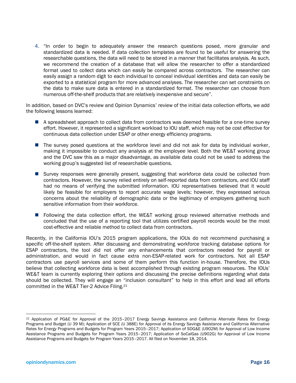4. "In order to begin to adequately answer the research questions posed, more granular and standardized data is needed. If data collection templates are found to be useful for answering the researchable questions, the data will need to be stored in a manner that facilitates analysis. As such, we recommend the creation of a database that will allow the researcher to offer a standardized format used to collect data which can easily be compared across contractors. The researcher can easily assign a random digit to each individual to conceal individual identities and data can easily be exported to a statistical program for more advanced analyses. The researcher can set constraints on the data to make sure data is entered in a standardized format. The researcher can choose from numerous off-the-shelf products that are relatively inexpensive and secure".

In addition, based on DVC's review and Opinion Dynamics' review of the initial data collection efforts, we add the following lessons learned:

- A spreadsheet approach to collect data from contractors was deemed feasible for a one-time survey effort. However, it represented a significant workload to IOU staff, which may not be cost effective for continuous data collection under ESAP or other energy efficiency programs.
- The survey posed questions at the workforce level and did not ask for data by individual worker, making it impossible to conduct any analysis at the employee level. Both the WE&T working group and the DVC saw this as a major disadvantage, as available data could not be used to address the working group's suggested list of researchable questions.
- **E** Survey responses were generally present, suggesting that workforce data could be collected from contractors. However, the survey relied entirely on self-reported data from contractors, and IOU staff had no means of verifying the submitted information. IOU representatives believed that it would likely be feasible for employers to report accurate wage levels; however, they expressed serious concerns about the reliability of demographic data or the legitimacy of employers gathering such sensitive information from their workforce.
- **F** Following the data collection effort, the WE&T working group reviewed alternative methods and concluded that the use of a reporting tool that utilizes certified payroll records would be the most cost-effective and reliable method to collect data from contractors.

Recently, in the California IOU's 2015 program applications, the IOUs do not recommend purchasing a specific off-the-shelf system. After discussing and demonstrating workforce tracking database options for ESAP contractors, the tool did not offer any enhancements that contractors needed for payroll or administration, and would in fact cause extra non-ESAP-related work for contractors. Not all ESAP contractors use payroll services and some of them perform this function in-house. Therefore, the IOUs believe that collecting workforce data is best accomplished through existing program resources. The IOUs' WE&T team is currently exploring their options and discussing the precise definitions regarding what data should be collected. They will engage an "inclusion consultant" to help in this effort and lead all efforts committed in the WE&T Tier-2 Advice Filing.21

 <sup>21</sup> Application of PG&E for Approval of the 2015–2017 Energy Savings Assistance and California Alternate Rates for Energy Programs and Budget (U 39 M); Application of SCE (U 388E) for Approval of its Energy Savings Assistance and California Alternative Rates for Energy Programs and Budgets for Program Years 2015–2017; Application of SDG&E (U902M) for Approval of Low Income Assistance Programs and Budgets for Program Years 2015–2017; Application of SoCalGas (U902G) for Approval of Low Income Assistance Programs and Budgets for Program Years 2015–2017. All filed on November 18, 2014.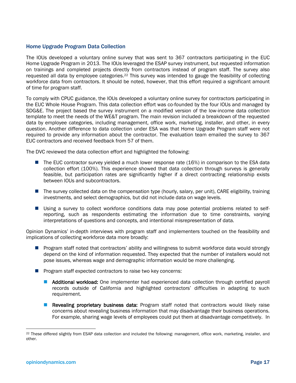#### Home Upgrade Program Data Collection

The IOUs developed a voluntary online survey that was sent to 367 contractors participating in the EUC Home Upgrade Program in 2013. The IOUs leveraged the ESAP survey instrument, but requested information on trainings and completed projects directly from contractors instead of program staff. The survey also requested all data by employee categories.22 This survey was intended to gauge the feasibility of collecting workforce data from contractors. It should be noted, however, that this effort required a significant amount of time for program staff.

To comply with CPUC guidance, the IOUs developed a voluntary online survey for contractors participating in the EUC Whole House Program. This data collection effort was co-founded by the four IOUs and managed by SDG&E. The project based the survey instrument on a modified version of the low-income data collection template to meet the needs of the WE&T program. The main revision included a breakdown of the requested data by employee categories, including management, office work, marketing, installer, and other, in every question. Another difference to data collection under ESA was that Home Upgrade Program staff were not required to provide any information about the contractor. The evaluation team emailed the survey to 367 EUC contractors and received feedback from 57 of them.

The DVC reviewed the data collection effort and highlighted the following:

- The EUC contractor survey yielded a much lower response rate (16%) in comparison to the ESA data collection effort (100%). This experience showed that data collection through surveys is generally feasible, but participation rates are significantly higher if a direct contracting relationship exists between IOUs and subcontractors.
- The survey collected data on the compensation type (hourly, salary, per unit), CARE eligibility, training investments, and select demographics, but did not include data on wage levels.
- Using a survey to collect workforce conditions data may pose potential problems related to selfreporting, such as respondents estimating the information due to time constraints, varying interpretations of questions and concepts, and intentional misrepresentation of data.

Opinion Dynamics' in-depth interviews with program staff and implementers touched on the feasibility and implications of collecting workforce data more broadly:

- **Program staff noted that contractors' ability and willingness to submit workforce data would strongly** depend on the kind of information requested. They expected that the number of installers would not pose issues, whereas wage and demographic information would be more challenging.
- **Program staff expected contractors to raise two key concerns:** 
	- **Additional workload:** One implementer had experienced data collection through certified payroll records outside of California and highlighted contractors' difficulties in adapting to such requirement.
	- **Revealing proprietary business data:** Program staff noted that contractors would likely raise concerns about revealing business information that may disadvantage their business operations. For example, sharing wage levels of employees could put them at disadvantage competitively. In

<sup>&</sup>lt;sup>22</sup> These differed slightly from ESAP data collection and included the following: management, office work, marketing, installer, and other.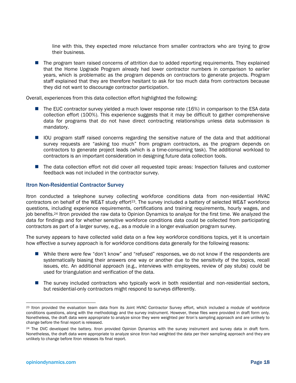line with this, they expected more reluctance from smaller contractors who are trying to grow their business.

**The program team raised concerns of attrition due to added reporting requirements. They explained** that the Home Upgrade Program already had lower contractor numbers in comparison to earlier years, which is problematic as the program depends on contractors to generate projects. Program staff explained that they are therefore hesitant to ask for too much data from contractors because they did not want to discourage contractor participation.

Overall, experiences from this data collection effort highlighted the following:

- The EUC contractor survey yielded a much lower response rate (16%) in comparison to the ESA data collection effort (100%). This experience suggests that it may be difficult to gather comprehensive data for programs that do not have direct contracting relationships unless data submission is mandatory.
- **I** IOU program staff raised concerns regarding the sensitive nature of the data and that additional survey requests are "asking too much" from program contractors, as the program depends on contractors to generate project leads (which is a time-consuming task). The additional workload to contractors is an important consideration in designing future data collection tools.
- The data collection effort not did cover all requested topic areas: Inspection failures and customer feedback was not included in the contractor survey.

#### Itron Non-Residential Contractor Survey

Itron conducted a telephone survey collecting workforce conditions data from non-residential HVAC contractors on behalf of the WE&T study effort<sup>23</sup>. The survey included a battery of selected WE&T workforce questions, including experience requirements, certifications and training requirements, hourly wages, and job benefits.24 Itron provided the raw data to Opinion Dynamics to analyze for the first time. We analyzed the data for findings and for whether sensitive workforce conditions data could be collected from participating contractors as part of a larger survey, e.g., as a module in a longer evaluation program survey.

The survey appears to have collected valid data on a few key workforce conditions topics, yet it is uncertain how effective a survey approach is for workforce conditions data generally for the following reasons:

- While there were few "don't know" and "refused" responses, we do not know if the respondents are systematically biasing their answers one way or another due to the sensitivity of the topics, recall issues, etc. An additional approach (e.g., interviews with employees, review of pay stubs) could be used for triangulation and verification of the data.
- The survey included contractors who typically work in both residential and non-residential sectors, but residential-only contractors might respond to surveys differently.

<sup>&</sup>lt;sup>23</sup> Itron provided the evaluation team data from its Joint HVAC Contractor Survey effort, which included a module of workforce conditions questions, along with the methodology and the survey instrument. However, these files were provided in draft form only. Nonetheless, the draft data were appropriate to analyze since they were weighted per Itron's sampling approach and are unlikely to change before the final report is released.

<sup>&</sup>lt;sup>24</sup> The DVC developed the battery. Itron provided Opinion Dynamics with the survey instrument and survey data in draft form. Nonetheless, the draft data were appropriate to analyze since Itron had weighted the data per their sampling approach and they are unlikely to change before Itron releases its final report.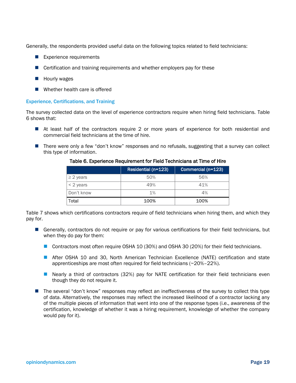Generally, the respondents provided useful data on the following topics related to field technicians:

- Experience requirements
- Certification and training requirements and whether employers pay for these
- $\blacksquare$  Hourly wages
- Whether health care is offered

#### Experience, Certifications, and Training

The survey collected data on the level of experience contractors require when hiring field technicians. Table 6 shows that:

- At least half of the contractors require 2 or more years of experience for both residential and commercial field technicians at the time of hire.
- **There were only a few "don't know" responses and no refusals, suggesting that a survey can collect** this type of information.

|                | Residential (n=123) | Commercial (n=123) |  |  |  |  |
|----------------|---------------------|--------------------|--|--|--|--|
| $\geq$ 2 years | 50%                 | 56%                |  |  |  |  |
| < 2 years      | 49%                 | 41%                |  |  |  |  |
| Don't know     | $1\%$               | 4%                 |  |  |  |  |
| Total          | 100%                | 100%               |  |  |  |  |

#### Table 6. Experience Requirement for Field Technicians at Time of Hire

Table 7 shows which certifications contractors require of field technicians when hiring them, and which they pay for.

- Generally, contractors do not require or pay for various certifications for their field technicians, but when they do pay for them:
	- Contractors most often require OSHA 10 (30%) and OSHA 30 (20%) for their field technicians.
	- **After OSHA 10 and 30, North American Technician Excellence (NATE) certification and state** apprenticeships are most often required for field technicians (~20%–22%).
	- **Nearly a third of contractors (32%) pay for NATE certification for their field technicians even** though they do not require it.
- The several "don't know" responses may reflect an ineffectiveness of the survey to collect this type of data. Alternatively, the responses may reflect the increased likelihood of a contractor lacking any of the multiple pieces of information that went into one of the response types (i.e., awareness of the certification, knowledge of whether it was a hiring requirement, knowledge of whether the company would pay for it).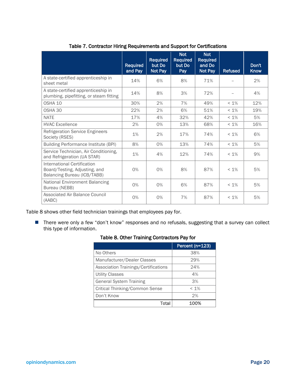|                                                                                             | Required<br>and Pay | <b>Required</b><br>but Do<br>Not Pay | <b>Not</b><br><b>Required</b><br>but Do<br>Pay | <b>Not</b><br><b>Required</b><br>and Do<br>Not Pay | <b>Refused</b> | Don't<br><b>Know</b> |
|---------------------------------------------------------------------------------------------|---------------------|--------------------------------------|------------------------------------------------|----------------------------------------------------|----------------|----------------------|
| A state-certified apprenticeship in<br>sheet metal                                          | 14%                 | 6%                                   | 8%                                             | 71%                                                |                | 2%                   |
| A state-certified apprenticeship in<br>plumbing, pipefitting, or steam fitting              | 14%                 | 8%                                   | 3%                                             | 72%                                                |                | 4%                   |
| OSHA 10                                                                                     | 30%                 | 2%                                   | 7%                                             | 49%                                                | $< 1\%$        | 12%                  |
| OSHA 30                                                                                     | 22%                 | 2%                                   | 6%                                             | 51%                                                | $< 1\%$        | 19%                  |
| <b>NATE</b>                                                                                 | 17%                 | 4%                                   | 32%                                            | 42%                                                | $< 1\%$        | 5%                   |
| <b>HVAC Excellence</b>                                                                      | 2%                  | 0%                                   | 13%                                            | 68%                                                | $< 1\%$        | 16%                  |
| <b>Refrigeration Service Engineers</b><br>Society (RSES)                                    | 1%                  | 2%                                   | 17%                                            | 74%                                                | $< 1\%$        | 6%                   |
| <b>Building Performance Institute (BPI)</b>                                                 | 8%                  | 0%                                   | 13%                                            | 74%                                                | $< 1\%$        | 5%                   |
| Service Technician, Air Conditioning,<br>and Refrigeration (UA STAR)                        | 1%                  | 4%                                   | 12%                                            | 74%                                                | $< 1\%$        | 9%                   |
| International Certification<br>Board/Testing, Adjusting, and<br>Balancing Bureau (ICB/TABB) | 0%                  | 0%                                   | 8%                                             | 87%                                                | $< 1\%$        | 5%                   |
| <b>National Environment Balancing</b><br>Bureau (NEBB)                                      | 0%                  | 0%                                   | 6%                                             | 87%                                                | $< 1\%$        | 5%                   |
| Associated Air Balance Council<br>(AABC)                                                    | 0%                  | 0%                                   | 7%                                             | 87%                                                | $< 1\%$        | 5%                   |

#### Table 7. Contractor Hiring Requirements and Support for Certifications

Table 8 shows other field technician trainings that employees pay for.

■ There were only a few "don't know" responses and no refusals, suggesting that a survey can collect this type of information.

#### Table 8. Other Training Contractors Pay for

|                                      | Percent (n=123) |
|--------------------------------------|-----------------|
| No Others                            | 38%             |
| Manufacturer/Dealer Classes          | 29%             |
| Association Trainings/Certifications | 24%             |
| <b>Utility Classes</b>               | 4%              |
| <b>General System Training</b>       | 3%              |
| Critical Thinking/Common Sense       | $< 1\%$         |
| Don't Know                           | 2%              |
| Total                                | 100%            |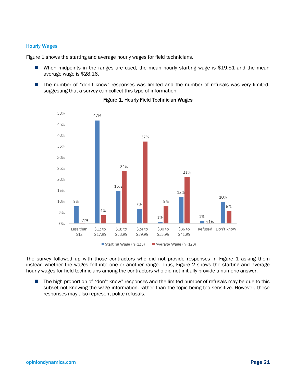#### Hourly Wages

Figure 1 shows the starting and average hourly wages for field technicians.

- When midpoints in the ranges are used, the mean hourly starting wage is \$19.51 and the mean average wage is \$28.16.
- The number of "don't know" responses was limited and the number of refusals was very limited, suggesting that a survey can collect this type of information.



Figure 1. Hourly Field Technician Wages

The survey followed up with those contractors who did not provide responses in Figure 1 asking them instead whether the wages fell into one or another range. Thus, Figure 2 shows the starting and average hourly wages for field technicians among the contractors who did not initially provide a numeric answer.

The high proportion of "don't know" responses and the limited number of refusals may be due to this subset not knowing the wage information, rather than the topic being too sensitive. However, these responses may also represent polite refusals.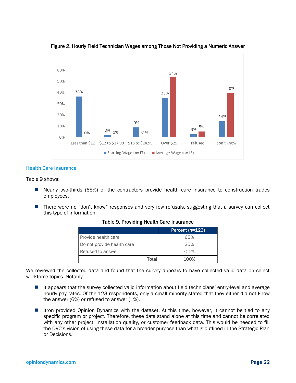

#### Figure 2. Hourly Field Technician Wages among Those Not Providing a Numeric Answer

#### Health Care Insurance

Table 9 shows:

- Nearly two-thirds (65%) of the contractors provide health care insurance to construction trades employees.
- **There were no "don't know" responses and very few refusals, suggesting that a survey can collect** this type of information.

|                            |       | Percent (n=123) |
|----------------------------|-------|-----------------|
| Provide health care        |       | 65%             |
| Do not provide health care |       | 35%             |
| Refused to answer          |       | $< 1\%$         |
|                            | Total | 100%            |

#### Table 9. Providing Health Care Insurance

We reviewed the collected data and found that the survey appears to have collected valid data on select workforce topics. Notably:

- It appears that the survey collected valid information about field technicians' entry-level and average hourly pay rates. Of the 123 respondents, only a small minority stated that they either did not know the answer (6%) or refused to answer (1%).
- Itron provided Opinion Dynamics with the dataset. At this time, however, it cannot be tied to any specific program or project. Therefore, these data stand alone at this time and cannot be correlated with any other project, installation quality, or customer feedback data. This would be needed to fill the DVC's vision of using these data for a broader purpose than what is outlined in the Strategic Plan or Decisions.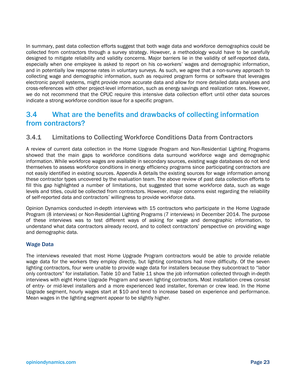In summary, past data collection efforts suggest that both wage data and workforce demographics could be collected from contractors through a survey strategy. However, a methodology would have to be carefully designed to mitigate reliability and validity concerns. Major barriers lie in the validity of self-reported data, especially when one employee is asked to report on his co-workers' wages and demographic information, and in potentially low response rates in voluntary surveys. As such, we agree that a non-survey approach to collecting wage and demographic information, such as required program forms or software that leverages electronic payroll systems, might provide more accurate data and allow for more detailed data analyses and cross-references with other project-level information, such as energy savings and realization rates. However, we do not recommend that the CPUC require this intensive data collection effort until other data sources indicate a strong workforce condition issue for a specific program.

# 3.4 What are the benefits and drawbacks of collecting information from contractors?

#### 3.4.1 Limitations to Collecting Workforce Conditions Data from Contractors

A review of current data collection in the Home Upgrade Program and Non-Residential Lighting Programs showed that the main gaps to workforce conditions data surround workforce wage and demographic information. While workforce wages are available in secondary sources, existing wage databases do not lend themselves to assess workforce conditions in energy efficiency programs since participating contractors are not easily identified in existing sources. Appendix A details the existing sources for wage information among these contractor types uncovered by the evaluation team. The above review of past data collection efforts to fill this gap highlighted a number of limitations, but suggested that some workforce data, such as wage levels and titles, could be collected from contractors. However, major concerns exist regarding the reliability of self-reported data and contractors' willingness to provide workforce data.

Opinion Dynamics conducted in-depth interviews with 15 contractors who participate in the Home Upgrade Program (8 interviews) or Non-Residential Lighting Programs (7 interviews) in December 2014. The purpose of these interviews was to test different ways of asking for wage and demographic information, to understand what data contractors already record, and to collect contractors' perspective on providing wage and demographic data.

#### Wage Data

The interviews revealed that most Home Upgrade Program contractors would be able to provide reliable wage data for the workers they employ directly, but lighting contractors had more difficulty. Of the seven lighting contractors, four were unable to provide wage data for installers because they subcontract to "labor only contractors" for installation. Table 10 and Table 11 show the job information collected through in-depth interviews with eight Home Upgrade Program and seven lighting contractors. Most installation crews consist of entry- or mid-level installers and a more experienced lead installer, foreman or crew lead. In the Home Upgrade segment, hourly wages start at \$10 and tend to increase based on experience and performance. Mean wages in the lighting segment appear to be slightly higher.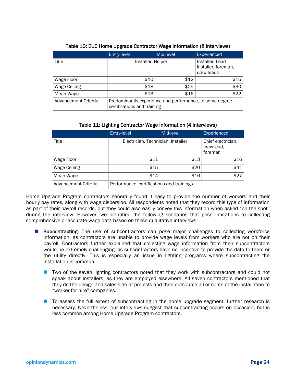|                      | Entry-level                                                                             | Mid-level | Experienced                                          |
|----------------------|-----------------------------------------------------------------------------------------|-----------|------------------------------------------------------|
| Title                | Installer, Helper                                                                       |           | Installer, Lead<br>installer, foreman,<br>crew leads |
| Wage Floor           | \$10                                                                                    | \$12      | \$16                                                 |
| Wage Ceiling         | \$18                                                                                    | \$25      | \$30                                                 |
| Mean Wage            | \$13                                                                                    | \$16      | \$22                                                 |
| Advancement Criteria | Predominantly experience and performance, to some degree<br>certifications and training |           |                                                      |

#### Table 10: EUC Home Upgrade Contractor Wage Information (8 interviews)

#### Table 11: Lighting Contractor Wage Information (4 interviews)

|                      | Entry-level                               | Mid-level | Experienced                                 |
|----------------------|-------------------------------------------|-----------|---------------------------------------------|
| Title                | Electrician, Technician, Installer        |           | Chief electrician,<br>crew lead.<br>foreman |
| Wage Floor           | \$11                                      | \$13      | \$16                                        |
| Wage Ceiling         | \$15                                      | \$20      | \$41                                        |
| Mean Wage            | \$14                                      | \$16      | \$27                                        |
| Advancement Criteria | Performance, certifications and trainings |           |                                             |

Home Upgrade Program contractors generally found it easy to provide the number of workers and their hourly pay rates, along with wage dispersion. All respondents noted that they record this type of information as part of their payroll records, but they could also easily convey this information when asked "on the spot" during the interview. However, we identified the following scenarios that pose limitations to collecting comprehensive or accurate wage data based on these qualitative interviews:

- Subcontracting: The use of subcontractors can pose major challenges to collecting workforce information, as contractors are unable to provide wage levels from workers who are not on their payroll. Contractors further explained that collecting wage information from their subcontractors would be extremely challenging, as subcontractors have no incentive to provide the data to them or the utility directly. This is especially an issue in lighting programs where subcontracting the installation is common.
	- Two of the seven lighting contractors noted that they work with subcontractors and could not speak about installers, as they are employed elsewhere. All seven contractors mentioned that they do the design and sales side of projects and then outsource all or some of the installation to "worker for hire" companies.
	- To assess the full extent of subcontracting in the home upgrade segment, further research is necessary. Nevertheless, our interviews suggest that subcontracting occurs on occasion, but is less common among Home Upgrade Program contractors.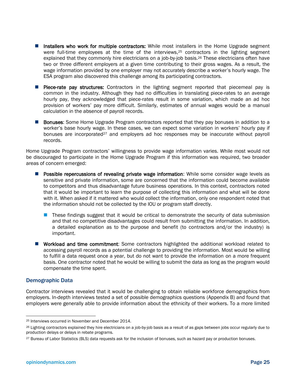- Installers who work for multiple contractors: While most installers in the Home Upgrade segment were full-time employees at the time of the interviews,<sup>25</sup> contractors in the lighting segment explained that they commonly hire electricians on a job-by-job basis.<sup>26</sup> These electricians often have two or three different employers at a given time contributing to their gross wages. As a result, the wage information provided by one employer may not accurately describe a worker's hourly wage. The ESA program also discovered this challenge among its participating contractors.
- **Piece-rate pay structures:** Contractors in the lighting segment reported that piecemeal pay is common in the industry. Although they had no difficulties in translating piece-rates to an average hourly pay, they acknowledged that piece-rates result in some variation, which made an ad hoc provision of workers' pay more difficult. Similarly, estimates of annual wages would be a manual calculation in the absence of payroll records.
- Bonuses: Some Home Upgrade Program contractors reported that they pay bonuses in addition to a worker's base hourly wage. In these cases, we can expect some variation in workers' hourly pay if bonuses are incorporated<sup>27</sup> and employers ad hoc responses may be inaccurate without payroll records.

Home Upgrade Program contractors' willingness to provide wage information varies. While most would not be discouraged to participate in the Home Upgrade Program if this information was required, two broader areas of concern emerged:

- **Possible repercussions of revealing private wage information:** While some consider wage levels as sensitive and private information, some are concerned that the information could become available to competitors and thus disadvantage future business operations. In this context, contractors noted that it would be important to learn the purpose of collecting this information and what will be done with it. When asked if it mattered who would collect the information, only one respondent noted that the information should not be collected by the IOU or program staff directly.
	- **These findings suggest that it would be critical to demonstrate the security of data submission** and that no competitive disadvantages could result from submitting the information. In addition, a detailed explanation as to the purpose and benefit (to contractors and/or the industry) is important.
- **Workload and time commitment:** Some contractors highlighted the additional workload related to accessing payroll records as a potential challenge to providing the information. Most would be willing to fulfill a data request once a year, but do not want to provide the information on a more frequent basis. One contractor noted that he would be willing to submit the data as long as the program would compensate the time spent.

#### Demographic Data

Contractor interviews revealed that it would be challenging to obtain reliable workforce demographics from employers. In-depth interviews tested a set of possible demographics questions (Appendix B) and found that employers were generally able to provide information about the ethnicity of their workers. To a more limited

 <sup>25</sup> Interviews occurred in November and December 2014.

<sup>&</sup>lt;sup>26</sup> Lighting contractors explained they hire electricians on a job-by-job basis as a result of as gaps between jobs occur regularly due to production delays or delays in rebate programs.

<sup>27</sup> Bureau of Labor Statistics (BLS) data requests ask for the inclusion of bonuses, such as hazard pay or production bonuses.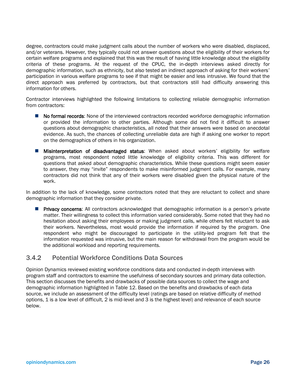degree, contractors could make judgment calls about the number of workers who were disabled, displaced, and/or veterans. However, they typically could not answer questions about the eligibility of their workers for certain welfare programs and explained that this was the result of having little knowledge about the eligibility criteria of these programs. At the request of the CPUC, the in-depth interviews asked directly for demographic information, such as ethnicity, but also tested an indirect approach of asking for their workers' participation in various welfare programs to see if that might be easier and less intrusive. We found that the direct approach was preferred by contractors, but that contractors still had difficulty answering this information for others.

Contractor interviews highlighted the following limitations to collecting reliable demographic information from contractors:

- No formal records: None of the interviewed contractors recorded workforce demographic information or provided the information to other parties. Although some did not find it difficult to answer questions about demographic characteristics, all noted that their answers were based on anecdotal evidence. As such, the chances of collecting unreliable data are high if asking one worker to report on the demographics of others in his organization.
- **Misinterpretation of disadvantaged status:** When asked about workers' eligibility for welfare programs, most respondent noted little knowledge of eligibility criteria. This was different for questions that asked about demographic characteristics. While these questions might seem easier to answer, they may "invite" respondents to make misinformed judgment calls. For example, many contractors did not think that any of their workers were disabled given the physical nature of the work.

In addition to the lack of knowledge, some contractors noted that they are reluctant to collect and share demographic information that they consider private.

**Privacy concerns:** All contractors acknowledged that demographic information is a person's private matter. Their willingness to collect this information varied considerably. Some noted that they had no hesitation about asking their employees or making judgment calls, while others felt reluctant to ask their workers. Nevertheless, most would provide the information if required by the program. One respondent who might be discouraged to participate in the utility-led program felt that the information requested was intrusive, but the main reason for withdrawal from the program would be the additional workload and reporting requirements.

#### 3.4.2 Potential Workforce Conditions Data Sources

Opinion Dynamics reviewed existing workforce conditions data and conducted in-depth interviews with program staff and contractors to examine the usefulness of secondary sources and primary data collection. This section discusses the benefits and drawbacks of possible data sources to collect the wage and demographic information highlighted in Table 12. Based on the benefits and drawbacks of each data source, we include an assessment of the difficulty level (ratings are based on relative difficulty of method options, 1 is a low level of difficult, 2 is mid-level and 3 is the highest level) and relevance of each source below.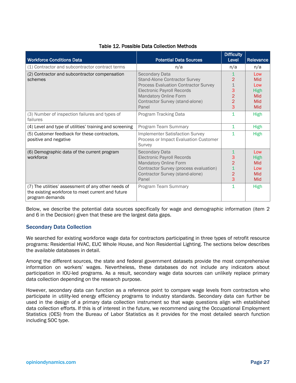| <b>Workforce Conditions Data</b>                                                                                            | <b>Potential Data Sources</b>                                                             | <b>Difficulty</b><br>Level | Relevance   |
|-----------------------------------------------------------------------------------------------------------------------------|-------------------------------------------------------------------------------------------|----------------------------|-------------|
| (1) Contractor and subcontractor contract terms                                                                             | n/a                                                                                       | n/a                        | n/a         |
| (2) Contractor and subcontractor compensation                                                                               | Secondary Data                                                                            | 1                          | Low         |
| schemes                                                                                                                     | <b>Stand-Alone Contractor Survey</b>                                                      | 2                          | Mid         |
|                                                                                                                             | <b>Process Evaluation Contractor Survey</b>                                               | $\mathbf 1$                | Low         |
|                                                                                                                             | <b>Electronic Payroll Records</b>                                                         | 3                          | <b>High</b> |
|                                                                                                                             | <b>Mandatory Online Form</b>                                                              | $\overline{2}$             | Mid         |
|                                                                                                                             | Contractor Survey (stand-alone)                                                           | 2                          | Mid         |
|                                                                                                                             | Panel                                                                                     | 3                          | Mid         |
| (3) Number of inspection failures and types of<br>failures                                                                  | Program Tracking Data                                                                     | $\mathbf 1$                | High        |
| (4) Level and type of utilities' training and screening                                                                     | Program Team Summary                                                                      | $\mathbf{1}$               | <b>High</b> |
| (5) Customer feedback for these contractors,<br>positive and negative                                                       | <b>Implementer Satisfaction Survey</b><br>Process or Impact Evaluation Customer<br>Survey | 1                          | <b>High</b> |
| (6) Demographic data of the current program                                                                                 | Secondary Data                                                                            | 1                          | Low         |
| workforce                                                                                                                   | <b>Electronic Payroll Records</b>                                                         | З                          | <b>High</b> |
|                                                                                                                             | <b>Mandatory Online Form</b>                                                              | $\overline{2}$             | Mid         |
|                                                                                                                             | Contractor Survey (process evaluation)                                                    |                            | Low         |
|                                                                                                                             | Contractor Survey (stand-alone)                                                           | 2                          | Mid         |
|                                                                                                                             | Panel                                                                                     | 3                          | Mid         |
| (7) The utilities' assessment of any other needs of<br>the existing workforce to meet current and future<br>program demands | Program Team Summary                                                                      | 1                          | <b>High</b> |

#### Table 12. Possible Data Collection Methods

Below, we describe the potential data sources specifically for wage and demographic information (item 2 and 6 in the Decision) given that these are the largest data gaps.

#### Secondary Data Collection

We searched for existing workforce wage data for contractors participating in three types of retrofit resource programs: Residential HVAC, EUC Whole House, and Non Residential Lighting. The sections below describes the available databases in detail.

Among the different sources, the state and federal government datasets provide the most comprehensive information on workers' wages. Nevertheless, these databases do not include any indicators about participation in IOU-led programs. As a result, secondary wage data sources can unlikely replace primary data collection depending on the research purpose.

However, secondary data can function as a reference point to compare wage levels from contractors who participate in utility-led energy efficiency programs to industry standards. Secondary data can further be used in the design of a primary data collection instrument so that wage questions align with established data collection efforts. If this is of interest in the future, we recommend using the Occupational Employment Statistics (OES) from the Bureau of Labor Statistics as it provides for the most detailed search function including SOC type.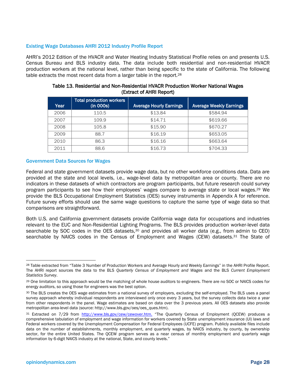#### Existing Wage Databases AHRI 2012 Industry Profile Report

AHRI's 2012 Edition of the HVACR and Water Heating Industry Statistical Profile relies on and presents U.S. Census Bureau and BLS industry data. The data include both residential and non-residential HVACR production workers at the national level, rather than being specific to the state of California. The following table extracts the most recent data from a larger table in the report.28

| Year | <b>Total production workers</b><br>(in 000s) | <b>Average Hourly Earnings</b> | <b>Average Weekly Earnings</b> |
|------|----------------------------------------------|--------------------------------|--------------------------------|
| 2006 | 110.5                                        | \$13.84                        | \$584.94                       |
| 2007 | 109.9                                        | \$14.71                        | \$619.66                       |
| 2008 | 105.8                                        | \$15.90                        | \$670.27                       |
| 2009 | 88.7                                         | \$16.19                        | \$653.05                       |
| 2010 | 86.3                                         | \$16.16                        | \$663.64                       |
| 2011 | 88.6                                         | \$16.73                        | \$704.33                       |

#### Table 13. Residential and Non-Residential HVACR Production Worker National Wages (Extract of AHRI Report)

#### Government Data Sources for Wages

Federal and state government datasets provide wage data, but no other workforce conditions data. Data are provided at the state and local levels, i.e., wage-level data by metropolitan area or county. There are no indicators in these datasets of which contractors are program participants, but future research could survey program participants to see how their employees' wages compare to average state or local wages.29 We provide the BLS Occupational Employment Statistics (OES) survey instruments in Appendix A for reference. Future survey efforts should use the same wage questions to capture the same type of wage data so that comparisons are straightforward.

Both U.S. and California government datasets provide California wage data for occupations and industries relevant to the EUC and Non-Residential Lighting Programs. The BLS provides production worker-level data searchable by SOC codes in the OES datasets,<sup>30</sup> and provides all worker data (e.g., from admin to CEO) searchable by NAICS codes in the Census of Employment and Wages (CEW) datasets.<sup>31</sup> The State of

<sup>&</sup>lt;sup>28</sup> Table extracted from "Table 3 Number of Production Workers and Average Hourly and Weekly Earnings" in the AHRI Profile Report. The AHRI report sources the data to the BLS *Quarterly Census of Employment and Wages* and the BLS *Current Employment Statistics Survey*.

<sup>29</sup> One limitation to this approach would be the matching of whole house auditors to engineers. There are no SOC or NAICS codes for energy auditors, so using those for engineers was the best option.

<sup>30</sup> The BLS creates the OES wage estimates from a national survey of employers, excluding the self-employed. The BLS uses a panel survey approach whereby individual respondents are interviewed only once every 3 years, but the survey collects data twice a year from other respondents in the panel. Wage estimates are based on data over the 3 previous years. All OES datasets also provide metropolitan area-level data (source: http://www.bls.gov/oes/oes\_ques.htm).

<sup>31</sup> Extracted on 7/29 from http://www.bls.gov/cew/cewover.htm. "The Quarterly Census of Employment (QCEW) produces a comprehensive tabulation of employment and wage information for workers covered by State unemployment insurance (UI) laws and Federal workers covered by the Unemployment Compensation for Federal Employees (UCFE) program. Publicly available files include data on the number of establishments, monthly employment, and quarterly wages, by NAICS industry, by county, by ownership sector, for the entire United States. The QCEW program serves as a near census of monthly employment and quarterly wage information by 6-digit NAICS industry at the national, State, and county levels."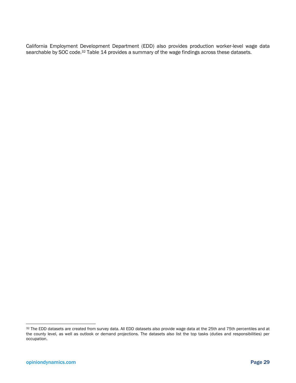California Employment Development Department (EDD) also provides production worker-level wage data searchable by SOC code.<sup>32</sup> Table 14 provides a summary of the wage findings across these datasets.

<sup>32</sup> The EDD datasets are created from survey data. All EDD datasets also provide wage data at the 25th and 75th percentiles and at the county level, as well as outlook or demand projections. The datasets also list the top tasks (duties and responsibilities) per occupation.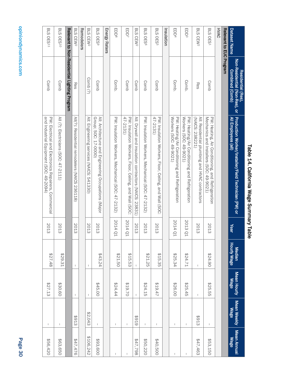| Dataset Name                   | Non-Residential (Non-Res), or<br><b>Combined (Comb)</b><br>Residential (Res), | Production Worker/Installer/Field Technician (PW) or<br>All Employees (all)                     | Year    | <b>Hourly Wage</b><br>Median | Mean Hourly<br><b>Wage</b> | Mean Weekly<br><b>Wage</b> | Mean Annual<br><b>Mage</b> |
|--------------------------------|-------------------------------------------------------------------------------|-------------------------------------------------------------------------------------------------|---------|------------------------------|----------------------------|----------------------------|----------------------------|
| Relevant to EUC Program        |                                                                               |                                                                                                 |         |                              |                            |                            |                            |
| <b>HVAC</b>                    |                                                                               |                                                                                                 |         |                              |                            |                            |                            |
| BLS OES1                       | Comb                                                                          | PW: Heating, Air Conditioning, and Refrigeration<br>Mechanics and Installers (SOC: 49-9021)     | 2013    | 06'74'80                     | \$25.55                    | $\mathbf{I}$               | \$53,150                   |
| BLS CEW <sup>2</sup>           | Res                                                                           | All: Residential plumbing and HVAC contractors<br>(NAICS: 2382221)                              | 2013    | L                            | I.                         | \$913                      | \$47,463                   |
| EDD <sup>3</sup>               | Comb.                                                                         | Workers (SOC: 49-9021)<br>PW: Heating/Air Conditioning and Refrigeration                        | 2013 Q1 | 17.14.71                     | \$25.45                    | $\overline{\phantom{a}}$   |                            |
| EDD <sup>4</sup>               | Comb.                                                                         | PW: Heating/Air Conditioning and Refrigeration<br>Workers (SOC: 49-9021)                        | 2014 Q1 | \$25.34                      | \$26.00                    | $\mathsf I$                | $\mathbf{I}$               |
| Insulation                     |                                                                               |                                                                                                 |         |                              |                            |                            |                            |
| BLS OES <sub>5</sub>           | Comb                                                                          | $47-2131$<br>PW: Insulation Workers, Floor, Ceiling, and Wall (SOC:                             | 2013    | \$15.35                      | \$19.47                    | $\mathsf{I}$               | \$40,500                   |
| <b>BLS</b><br>OES <sup>e</sup> | Comb                                                                          | PW: Insulation Workers, Mechanical (SOC: 47-2132)                                               | 2013    | \$21.25                      | \$24.15                    | L                          | \$50,220                   |
| <b>BLS</b><br>CEW <sub>2</sub> | Comb                                                                          | All: Drywall and insulation contractors (NAICS: 23831)                                          | 2013    | J.                           | $\mathsf I$                | 676\$                      | 847,798                    |
| EDD <sup>7</sup>               | Comb                                                                          | 47-2131)<br>PW: Insulation Workers, Floor, Ceiling, and Wall (SOC:                              | 2014 Q1 | \$15.53                      | \$19.70                    | I.                         |                            |
| EDD <sup>8</sup>               | Comb.                                                                         | PW: Insulation Workers, Mechanical (SOC: 47-2132)                                               | 2014 Q1 | \$21.50                      | 424.44                     | $\mathsf I$                | I.                         |
| <b>Energy Raters</b>           |                                                                               |                                                                                                 |         |                              |                            |                            |                            |
| BLS OES9                       | Comb                                                                          | All: Architecture and Engineering Occupations (Major<br>Group; SOC: 17-0000)                    | 2013    | \$43.24                      | \$45.00                    | $\mathsf{L}$               | \$93,600                   |
| BLS CEW <sup>2</sup>           | Comb (?)                                                                      | All: Engineering services (NAICS: 541330)                                                       | 2013    | J.                           | $\mathsf{I}$               | \$2,043                    | \$106,242                  |
| Remodelers                     |                                                                               |                                                                                                 |         |                              |                            |                            |                            |
| BLS CEW <sup>2</sup>           | <b>ReS</b>                                                                    | All(?): Residential remodelers (NAICS 236118)                                                   | 2013    | $\mathsf{I}$                 | $\mathsf{I}$               | 8913                       | 947,476                    |
|                                | Relevant to Non-Residential Lighting Program                                  |                                                                                                 |         |                              |                            |                            |                            |
| <b>BLS OES10</b>               | Comb                                                                          | All (?): Electricians (SOC: 47-2111)                                                            | 2013    | \$29.31                      | \$30.60                    | Τ.                         | \$63,650                   |
| BLS OES11                      | Comb                                                                          | and Industrial Equipment (SOC: 49-2094)<br>PW: Electrical and Electronics Repairers, Commercial | 2013    | 827.48                       | \$27.13                    | I                          | \$56,420                   |

# Table 14. California Wage Summary Table Table 14. California Wage Summary Table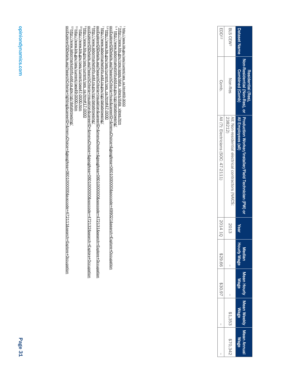| Dataset Nam          | Non-Residential (Non-Res), or  <br><b>Combined (Comb)</b><br>Residential (Res) | Production Worker/Installer/Field Technician (PW) or<br>All Employees (all) | Year    | <b>Hourly Wag</b><br><b>Aedia</b> | Mean Hou<br>Wage | ∕lean Week<br>Mage | <b>Jean Annu</b><br>Mag |
|----------------------|--------------------------------------------------------------------------------|-----------------------------------------------------------------------------|---------|-----------------------------------|------------------|--------------------|-------------------------|
| BLS CEW <sup>2</sup> | <b>Non-Res</b>                                                                 | 238212)<br>MI: Non-residential electrical contractors (NAICS):              | 2013    | I                                 | I                | \$1,3553           | \$70,34                 |
| EDD12                | Comb.                                                                          | All (?): Electricians (SOC: 47-2111                                         | 2014 10 | \$29.66                           | \$30.9           | I                  | ı                       |

ي بري<br>**1 1 4** 4 http://www.bls.gov/oes/current/oes\_ca.htm#49-0000

http://www.bls.gov/cew/apps/data\_views/data\_views.htm

http://www.labormarketinfo.edd.ca.gov/cgi/databrowsing/

occExplorerQSDetails.asp?searchCriteria=hvac&careerID=&menuChoice=&geogArea=0601000000&soccode=499021&search=Explore+Occupation

occExplorerQSDetails.asp?searchCriteria=insulation&careerID=&menuChoice=&geogArea=0601000000&soccode=472131&search=Explore+Occupation

occExplorerQSDetails.asp?searchCriteria=insulation&careerID=&menuChoice=&geogArea=0601000000&soccode=472132&search=Explore+Occupation

occExplorerQSDetails.asp?searchCriteria=lighting&careerID=&menuChoice=&geogArea=0601000000&soccode=472111&search=Explore+Occupation

occExplorerQSDetails.asp?searchCriteria=insulation&careerID=&menuChoice=&geogArea=0601000000&soccode=472132&search=Explore+Occupation<br><sup>9</sup> http://www.bls.gov/oes/current/oes47-0000.htm<br><sup>10</sup> http://www.bls.gov/oes/current/oe

5,6 http://www.bls.gov/oes/current/oes\_ca.htm#47-0000

7 http://www.labormarketinfo.edd.ca.gov/cgi/databrowsing/

8 http://www.labormarketinfo.edd.ca.gov/cgi/databrowsing/

 $^9$  http://www.bls.gov/oes/current/oes\_ca.htm#17-0000  $^{10}$  http://www.bls.gov/oes/current/oes47-0000.htm 11 http://www.bls.gov/oes/current/oes49-0000.htm  $^{12}$  http://www.labormarketinfo.edd.ca.gov/cgi/databrowsing/

opiniondynamics.com

opiniondynamics.com

Page 31

<sup>s.s</sup> http://www.bls.gov/oes/current/oes\_ca.htm#47-0000<br><sup>7</sup> http://www.labormarketinfo.edd.ca.gov/cgi/databrowsing/<br><u>ocExplorerQSDetails.asp?searchCriteria=insulation&careerID=&menuChoice=&geogArea=0601000000&soccode=47213</u>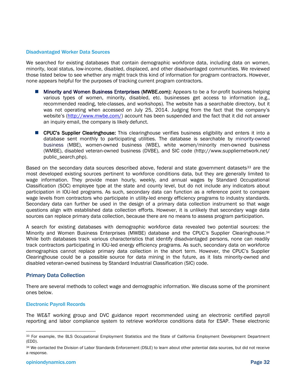#### Disadvantaged Worker Data Sources

We searched for existing databases that contain demographic workforce data, including data on women, minority, local status, low-income, disabled, displaced, and other disadvantaged communities. We reviewed those listed below to see whether any might track this kind of information for program contractors. However, none appears helpful for the purposes of tracking current program contractors.

- Minority and Women Business Enterprises (MWBE.com): Appears to be a for-profit business helping various types of women, minority, disabled, etc. businesses get access to information (e.g., recommended reading, tele-classes, and workshops). The website has a searchable directory, but it was not operating when accessed on July 25, 2014. Judging from the fact that the company's website's (http://www.mwbe.com/) account has been suspended and the fact that it did not answer an inquiry email, the company is likely defunct.
- **E** CPUC's Supplier Clearinghouse: This clearinghouse verifies business eligibility and enters it into a database sent monthly to participating utilities. The database is searchable by minority-owned business (MBE), women-owned business (WBE), white women/minority men-owned business (WMBE), disabled veteran-owned business (DVBE), and SIC code (http://www.suppliernetwork.net/ public\_search.php).

Based on the secondary data sources described above, federal and state government datasets<sup>33</sup> are the most developed existing sources pertinent to workforce conditions data, but they are generally limited to wage information. They provide mean hourly, weekly, and annual wages by Standard Occupational Classification (SOC) employee type at the state and county level, but do not include any indicators about participation in IOU-led programs. As such, secondary data can function as a reference point to compare wage levels from contractors who participate in utility-led energy efficiency programs to industry standards. Secondary data can further be used in the design of a primary data collection instrument so that wage questions align with established data collection efforts. However, it is unlikely that secondary wage data sources can replace primary data collection, because there are no means to assess program participation.

A search for existing databases with demographic workforce data revealed two potential sources: the Minority and Women Business Enterprises (MWBE) database and the CPUC's Supplier Clearinghouse.34 While both databases track various characteristics that identify disadvantaged persons, none can readily track contractors participating in IOU-led energy efficiency programs. As such, secondary data on workforce demographics cannot replace primary data collection in the short term. However, the CPUC's Supplier Clearinghouse could be a possible source for data mining in the future, as it lists minority-owned and disabled veteran-owned business by Standard Industrial Classification (SIC) code.

#### Primary Data Collection

There are several methods to collect wage and demographic information. We discuss some of the prominent ones below.

#### Electronic Payroll Records

The WE&T working group and DVC guidance report recommended using an electronic certified payroll reporting and labor compliance system to retrieve workforce conditions data for ESAP. These electronic

<sup>33</sup> For example, the BLS Occupational Employment Statistics and the State of California Employment Development Department (EDD).

<sup>34</sup> We contacted the Division of Labor Standards Enforcement (DSLE) to learn about other potential data sources, but did not receive a response.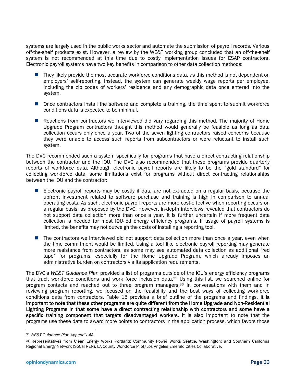systems are largely used in the public works sector and automate the submission of payroll records. Various off-the-shelf products exist. However, a review by the WE&T working group concluded that an off-the-shelf system is not recommended at this time due to costly implementation issues for ESAP contractors. Electronic payroll systems have two key benefits in comparison to other data collection methods:

- They likely provide the most accurate workforce conditions data, as this method is not dependent on employers' self-reporting. Instead, the system can generate weekly wage reports per employee, including the zip codes of workers' residence and any demographic data once entered into the system.
- **Once contractors install the software and complete a training, the time spent to submit workforce** conditions data is expected to be minimal.
- **Reactions from contractors we interviewed did vary regarding this method. The majority of Home** Upgrade Program contractors thought this method would generally be feasible as long as data collection occurs only once a year. Two of the seven lighting contractors raised concerns because they were unable to access such reports from subcontractors or were reluctant to install such system.

The DVC recommended such a system specifically for programs that have a direct contracting relationship between the contractor and the IOU. The DVC also recommended that these programs provide quarterly reports of workforce data. Although electronic payroll reports are likely to be the "gold standard" for collecting workforce data, some limitations exist for programs without direct contracting relationships between the IOU and the contractor:

- **E** Electronic payroll reports may be costly if data are not extracted on a regular basis, because the upfront investment related to software purchase and training is high in comparison to annual operating costs. As such, electronic payroll reports are more cost-effective when reporting occurs on a regular basis, as proposed by the DVC. However, in-depth interviews revealed that contractors do not support data collection more than once a year. It is further uncertain if more frequent data collection is needed for most IOU-led energy efficiency programs. If usage of payroll systems is limited, the benefits may not outweigh the costs of installing a reporting tool.
- The contractors we interviewed did not support data collection more than once a year, even when the time commitment would be limited. Using a tool like electronic payroll reporting may generate more resistance from contractors, as some may see automated data collection as additional "red tape" for programs, especially for the Home Upgrade Program, which already imposes an administrative burden on contractors via its application requirements.

The DVC's *WE&T Guidance Plan* provided a list of programs outside of the IOU's energy efficiency programs that track workforce conditions and work force inclusion data.35 Using this list, we searched online for program contacts and reached out to three program managers.36 In conversations with them and in reviewing program reporting, we focused on the feasibility and the best ways of collecting workforce conditions data from contractors. Table 15 provides a brief outline of the programs and findings. It is important to note that these other programs are quite different from the Home Upgrade and Non-Residential Lighting Programs in that some have a direct contracting relationship with contractors and some have a specific training component that targets disadvantaged workers. It is also important to note that the programs use these data to award more points to contractors in the application process, which favors those

 <sup>35</sup> *WE&T Guidance Plan Appendix 4A.*

<sup>36</sup> Representatives from Clean Energy Works Portland; Community Power Works Seattle, Washington; and Southern California Regional Energy Network (SoCal REN), LA County Workforce Pilot/Los Angeles Emerald Cities Collaborative.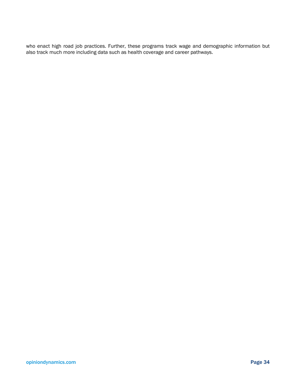who enact high road job practices. Further, these programs track wage and demographic information but also track much more including data such as health coverage and career pathways.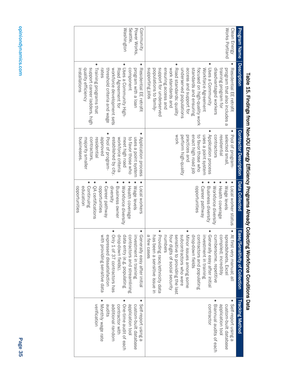| <b>Program Name</b><br><b>Description</b>                   |                                                                                                                                                                                                                                                                                                                                                                                                                     |                                                                                                                                                                                                                                  |                                                                                                                                                                                                                  |                                                                                                                                                                                                                                                                                                                                                                                                                                              |                                                                                                                                                                                          |
|-------------------------------------------------------------|---------------------------------------------------------------------------------------------------------------------------------------------------------------------------------------------------------------------------------------------------------------------------------------------------------------------------------------------------------------------------------------------------------------------|----------------------------------------------------------------------------------------------------------------------------------------------------------------------------------------------------------------------------------|------------------------------------------------------------------------------------------------------------------------------------------------------------------------------------------------------------------|----------------------------------------------------------------------------------------------------------------------------------------------------------------------------------------------------------------------------------------------------------------------------------------------------------------------------------------------------------------------------------------------------------------------------------------------|------------------------------------------------------------------------------------------------------------------------------------------------------------------------------------------|
|                                                             |                                                                                                                                                                                                                                                                                                                                                                                                                     | <b>Contractor Description</b>                                                                                                                                                                                                    | <b>Data Collected</b>                                                                                                                                                                                            | Ease/<br>Sensitivity of Collection                                                                                                                                                                                                                                                                                                                                                                                                           | <b>Tracking Method</b>                                                                                                                                                                   |
| Works Portland<br>Clean Energy                              | Road standards: quality<br>support for underserved<br>focused on high-quality work<br>Uses a Community<br>supporting jobs<br>ensuring access and<br>work standards and<br>access and support for<br>standards and ensuring<br>Workforce Agreement<br>Residential FIF retrofit<br>disadvantaged workers<br>training program for<br>program that also includes a<br>populations to family-<br>underserved populations | Pool of program-<br>Application process<br><b>WOrk</b><br>selected small,<br>enact high road job<br>contractors<br>perform high-quality<br>to favor those who<br>uses a point system<br>residential<br>practices and             | opportunities<br>Workforce diversity<br>Wage levels<br>Business diversity<br>Health coverage<br>Local worker status<br>Career pathway                                                                            | Providing race/ethnicity data<br>Minor issues among some<br>At fi<br>sensitive to providing the last<br>numbers<br>four digits of social security<br>subcontractors who were<br>Generally easy after initial<br>a few cases<br>has<br>drop-down fields<br>cumbersome, repetitive<br>compiled; incredibly<br>spreadsheets, Excel<br>contractors and populating<br>investment in training<br>been a sensitive issue in<br>rst very manual; all | Self-report using<br>contractor<br>application tool<br>custom-built database<br>Biannual audits of each                                                                                  |
| Washington<br>Seattle,<br>Power Works<br>Community<br>rates | Training programs that<br>support career ladders, high<br>quality efficiency<br>threshold criteria and wage<br>Uses a Community High-<br>workforce development sets<br>component<br>Residential FFI retrofit<br>installations<br>Road Agreement for<br>program with a loan                                                                                                                                          | Pool of program-<br>Application process<br>contractors,<br>pevoved<br>established by city.<br>workforce criteria<br>pusinesses<br>meet high road<br>to favor those who<br>uses a point system<br>residential<br>majority smaller | Health coverage<br>opportunities<br>Continuing<br>opportunities<br>Career pathway<br>Workforce diversity<br>QA certifications<br>education<br>diversity<br><b>Business owner</b><br>Wage levels<br>Local workers | Generally easy after initial<br>Only 1 of 37 contractors has<br>expressed dissatisfaction<br>drop-down fields).<br>data entry (e.g. populating<br>contractors and streamlining<br>with<br>investment in training<br>providing sensitive data                                                                                                                                                                                                 | Self-report using a<br>One-time audit of each<br>Monthly wage rate<br><b>Verification</b><br>additional random<br>application tool<br>audits<br>contractor with<br>custom-built database |

# I aple 10. Triquing from Nor-IOU Energy Efficiency Programs Already Collecting Workforce Conditions Data Lable 10. Triquid 2014 Table 15. Findings from Non-IOU Energy Efficiency Programs Already Collecting Workforce Conditions Data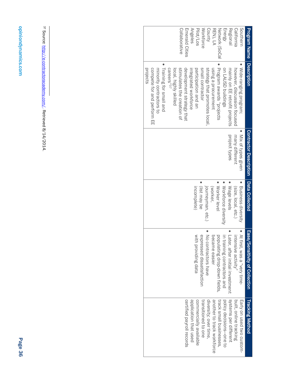| <b>Program Name</b> | <b>Description</b>             | <b>Contractor Description</b> | <b>Data Collected</b> | Ease/<br><b>Sensitivity of Collection</b> | <b>Tracking Method</b>     |
|---------------------|--------------------------------|-------------------------------|-----------------------|-------------------------------------------|----------------------------|
| Southerr            | Wide-ranging program;          | Mix of types given            | Business diversity    | At first, was a "very time-               | Early on used two custom-  |
| California          | however, discussion focused    | many different                | (size, local, etc.)   | intensive activity"                       | built, online tracking     |
| Regional            | mainly on EE retrofit projects | project types                 | Wage levels           | Later, after initial investment           | systems per different      |
| Energy              | on LAUSD buildings             |                               | Workforce diversity   | in training contractors and               | policy decisions-one to    |
| Network (SoCa       | Program awards "projects       |                               | Worker level          | populating drop-down fields,              | track small businesses,    |
| REN), LA            | using a procurement            |                               | (worker,              | became easier                             | another to track workforce |
| County              | strategy that promotes local   |                               | journeyman, etc.)     | No contractors have                       | diversity; over time,      |
| <b>Workforce</b>    | small contractor               |                               | (list may be          | expressed dissatisfaction                 | transitioned to one        |
| Pilot/Los           | participation and an           |                               | incomplete)           | with providing data                       | commercially available     |
| <b>Angeles</b>      | integrated workforce           |                               |                       |                                           | application that used      |
| Emerald Cities      | development strategy that      |                               |                       |                                           | certified payroll records  |
| Collaborative       | stimulates creation of         |                               |                       |                                           |                            |
|                     | local, highly skilled          |                               |                       |                                           |                            |
|                     | careers"37                     |                               |                       |                                           |                            |
|                     | Training for small and         |                               |                       |                                           |                            |
|                     | minority contractors to        |                               |                       |                                           |                            |
|                     | compete for and perform EE     |                               |                       |                                           |                            |
|                     | projects                       |                               |                       |                                           |                            |

<sup>37</sup> Source: http://e-contractoracademy.com/. Retrieved 8/14/2014. Source: http://e-contractoracademy.com/. Retrieved 8/14/2014.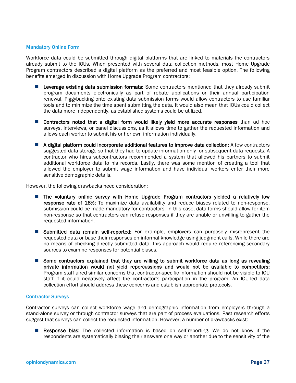#### Mandatory Online Form

Workforce data could be submitted through digital platforms that are linked to materials the contractors already submit to the IOUs. When presented with several data collection methods, most Home Upgrade Program contractors described a digital platform as the preferred and most feasible option. The following benefits emerged in discussion with Home Upgrade Program contractors:

- **Leverage existing data submission formats:** Some contractors mentioned that they already submit program documents electronically as part of rebate applications or their annual participation renewal. Piggybacking onto existing data submission forms would allow contractors to use familiar tools and to minimize the time spent submitting the data. It would also mean that IOUs could collect the data more independently, as established systems could be utilized.
- **Contractors noted that a digital form would likely yield more accurate responses** than ad hoc surveys, interviews, or panel discussions, as it allows time to gather the requested information and allows each worker to submit his or her own information individually.
- A digital platform could incorporate additional features to improve data collection: A few contractors suggested data storage so that they had to update information only for subsequent data requests. A contractor who hires subcontractors recommended a system that allowed his partners to submit additional workforce data to his records. Lastly, there was some mention of creating a tool that allowed the employer to submit wage information and have individual workers enter their more sensitive demographic details.

However, the following drawbacks need consideration:

- **The voluntary online survey with Home Upgrade Program contractors yielded a relatively low** response rate of 16%: To maximize data availability and reduce biases related to non-response. submission could be made mandatory for contractors. In this case, data forms should allow for item non-response so that contractors can refuse responses if they are unable or unwilling to gather the requested information.
- **Submitted data remain self-reported:** For example, employers can purposely misrepresent the requested data or base their responses on informal knowledge using judgment calls. While there are no means of checking directly submitted data, this approach would require referencing secondary sources to examine responses for potential biases.
- Some contractors explained that they are willing to submit workforce data as long as revealing private information would not yield repercussions and would not be available to competitors: Program staff aired similar concerns that contractor-specific information should not be visible to IOU staff if it could negatively affect the contractor's participation in the program. An IOU-led data collection effort should address these concerns and establish appropriate protocols.

#### Contractor Surveys

Contractor surveys can collect workforce wage and demographic information from employers through a stand-alone survey or through contractor surveys that are part of process evaluations. Past research efforts suggest that surveys can collect the requested information. However, a number of drawbacks exist:

**Response bias:** The collected information is based on self-reporting. We do not know if the respondents are systematically biasing their answers one way or another due to the sensitivity of the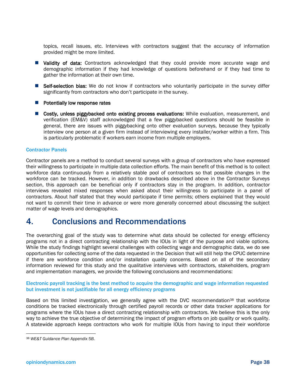topics, recall issues, etc. Interviews with contractors suggest that the accuracy of information provided might be more limited.

- **U** Validity of data: Contractors acknowledged that they could provide more accurate wage and demographic information if they had knowledge of questions beforehand or if they had time to gather the information at their own time.
- **Self-selection bias:** We do not know if contractors who voluntarily participate in the survey differ significantly from contractors who don't participate in the survey.
- $\blacksquare$  Potentially low response rates
- **Costly, unless piggybacked onto existing process evaluations:** While evaluation, measurement, and verification (EM&V) staff acknowledged that a few piggybacked questions should be feasible in general, there are issues with piggybacking onto other evaluation surveys, because they typically interview one person at a given firm instead of interviewing every installer/worker within a firm. This is particularly problematic if workers earn income from multiple employers.

#### Contractor Panels

Contractor panels are a method to conduct several surveys with a group of contractors who have expressed their willingness to participate in multiple data collection efforts. The main benefit of this method is to collect workforce data continuously from a relatively stable pool of contractors so that possible changes in the workforce can be tracked. However, in addition to drawbacks described above in the Contractor Surveys section, this approach can be beneficial only if contractors stay in the program. In addition, contractor interviews revealed mixed responses when asked about their willingness to participate in a panel of contractors. About half stated that they would participate if time permits; others explained that they would not want to commit their time in advance or were more generally concerned about discussing the subject matter of wage levels and demographics.

# 4. Conclusions and Recommendations

The overarching goal of the study was to determine what data should be collected for energy efficiency programs not in a direct contracting relationship with the IOUs in light of the purpose and viable options. While the study findings highlight several challenges with collecting wage and demographic data, we do see opportunities for collecting some of the data requested in the Decision that will still help the CPUC determine if there are workforce condition and/or installation quality concerns. Based on all of the secondary information reviewed for this study and the qualitative interviews with contractors, stakeholders, program and implementation managers, we provide the following conclusions and recommendations:

#### Electronic payroll tracking is the best method to acquire the demographic and wage information requested but investment is not justifiable for all energy efficiency programs

Based on this limited investigation, we generally agree with the DVC recommendation<sup>38</sup> that workforce conditions be tracked electronically through certified payroll records or other data tracker applications for programs where the IOUs have a direct contracting relationship with contractors. We believe this is the only way to achieve the true objective of determining the impact of program efforts on job quality or work quality. A statewide approach keeps contractors who work for multiple IOUs from having to input their workforce

 <sup>38</sup> *WE&T Guidance Plan Appendix 5B.*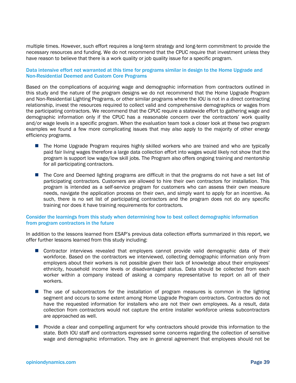multiple times. However, such effort requires a long-term strategy and long-term commitment to provide the necessary resources and funding. We do not recommend that the CPUC require that investment unless they have reason to believe that there is a work quality or job quality issue for a specific program.

#### Data intensive effort not warranted at this time for programs similar in design to the Home Upgrade and Non-Residential Deemed and Custom Core Programs

Based on the complications of acquiring wage and demographic information from contractors outlined in this study and the nature of the program designs we do not recommend that the Home Upgrade Program and Non-Residential Lighting Programs, or other similar programs where the IOU is not in a direct contracting relationship, invest the resources required to collect valid and comprehensive demographics or wages from the participating contractors. We recommend that the CPUC require a statewide effort to gathering wage and demographic information only if the CPUC has a reasonable concern over the contractors' work quality and/or wage levels in a specific program. When the evaluation team took a closer look at these two program examples we found a few more complicating issues that may also apply to the majority of other energy efficiency programs.

- **The Home Upgrade Program requires highly skilled workers who are trained and who are typically** paid fair living wages therefore a large data collection effort into wages would likely not show that the program is support low wage/low skill jobs. The Program also offers ongoing training and mentorship for all participating contractors.
- The Core and Deemed lighting programs are difficult in that the programs do not have a set list of participating contractors. Customers are allowed to hire their own contractors for installation. This program is intended as a self-service program for customers who can assess their own measure needs, navigate the application process on their own, and simply want to apply for an incentive. As such, there is no set list of participating contractors and the program does not do any specific training nor does it have training requirements for contractors.

#### Consider the learnings from this study when determining how to best collect demographic information from program contractors in the future

In addition to the lessons learned from ESAP's previous data collection efforts summarized in this report, we offer further lessons learned from this study including:

- **E** Contractor interviews revealed that employers cannot provide valid demographic data of their workforce. Based on the contractors we interviewed, collecting demographic information only from employers about their workers is not possible given their lack of knowledge about their employees' ethnicity, household income levels or disadvantaged status. Data should be collected from each worker within a company instead of asking a company representative to report on all of their workers.
- **The use of subcontractors for the installation of program measures is common in the lighting** segment and occurs to some extent among Home Upgrade Program contractors. Contractors do not have the requested information for installers who are not their own employees. As a result, data collection from contractors would not capture the entire installer workforce unless subcontractors are approached as well.
- **Provide a clear and compelling argument for why contractors should provide this information to the** state. Both IOU staff and contractors expressed some concerns regarding the collection of sensitive wage and demographic information. They are in general agreement that employees should not be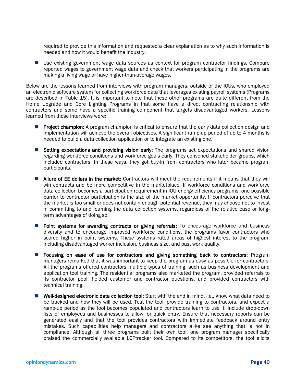required to provide this information and requested a clear explanation as to why such information is needed and how it would benefit the industry.

**Use existing government wage data sources as context for program contractor findings. Compare** reported wages to government wage data and check that workers participating in the programs are making a living wage or have higher-than-average wages.

Below are the lessons learned from interviews with program managers, outside of the IOUs, who employed an electronic software system for collecting workforce data that leverages existing payroll systems (Programs are described in Table 15). It is important to note that these other programs are quite different from the Home Upgrade and Core Lighting Programs in that some have a direct contracting relationship with contractors and some have a specific training component that targets disadvantaged workers. Lessons learned from those interviews were:

- **Project champion:** A program champion is critical to ensure that the early data collection design and implementation will achieve the overall objectives. A significant ramp-up period of up to 4 months is needed to build a data collection application or to integrate an existing one.
- **Setting expectations and providing vision early:** The programs set expectations and shared vision regarding workforce conditions and workforce goals early. They convened stakeholder groups, which included contractors. In these ways, they got buy-in from contractors who later became program participants.
- **Allure of EE dollars in the market:** Contractors will meet the requirements if it means that they will win contracts and be more competitive in the marketplace. If workforce conditions and workforce data collection becomes a participation requirement in IOU energy efficiency programs, one possible barrier to contractor participation is the size of the market opportunity. If contractors perceive that the market is too small or does not contain enough potential revenue, they may choose not to invest in committing to and learning the data collection systems, regardless of the relative ease or longterm advantages of doing so.
- Point systems for awarding contracts or giving referrals: To encourage workforce and business diversity and to encourage improved workforce conditions, the programs favor contractors who scored higher in point systems. These systems rated areas of highest interest to the program, including disadvantaged worker inclusion, business size, and past work quality.
- **F** Focusing on ease of use for contractors and giving something back to contractors: Program managers remarked that it was important to keep the program as easy as possible for contractors. All the programs offered contractors multiple types of training, such as business development and application tool training. The residential programs also marketed the program, provided referrals to its contractor pool, fielded customer and contractor questions, and provided contractors with technical training.
- Well-designed electronic data collection tool: Start with the end in mind, i.e., know what data need to be tracked and how they will be used. Test the tool, provide training to contractors, and expect a ramp-up period as the tool becomes populated and contractors learn to use it. Include drop-down lists of employees and businesses to allow for quick entry. Ensure that necessary reports can be generated easily and that the tool provides contractors with immediate feedback around entry mistakes. Such capabilities help managers and contractors alike see anything that is not in compliance. Although all three programs built their own tool, one program manager specifically praised the commercially available LCPtracker tool. Compared to its competitors, the tool elicits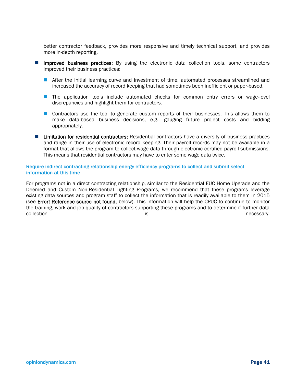better contractor feedback, provides more responsive and timely technical support, and provides more in-depth reporting.

- **Improved business practices:** By using the electronic data collection tools, some contractors improved their business practices:
	- **After the initial learning curve and investment of time, automated processes streamlined and** increased the accuracy of record keeping that had sometimes been inefficient or paper-based.
	- **The application tools include automated checks for common entry errors or wage-level** discrepancies and highlight them for contractors.
	- **Contractors use the tool to generate custom reports of their businesses. This allows them to** make data-based business decisions, e.g., gauging future project costs and bidding appropriately.
- **Limitation for residential contractors:** Residential contractors have a diversity of business practices and range in their use of electronic record keeping. Their payroll records may not be available in a format that allows the program to collect wage data through electronic certified payroll submissions. This means that residential contractors may have to enter some wage data twice.

#### Require indirect contracting relationship energy efficiency programs to collect and submit select information at this time

For programs not in a direct contracting relationship, similar to the Residential EUC Home Upgrade and the Deemed and Custom Non-Residential Lighting Programs, we recommend that these programs leverage existing data sources and program staff to collect the information that is readily available to them in 2015 (see Error! Reference source not found. below). This information will help the CPUC to continue to monitor the training, work and job quality of contractors supporting these programs and to determine if further data collection is a constant of the collection is a collection of the collection of the collection of the collection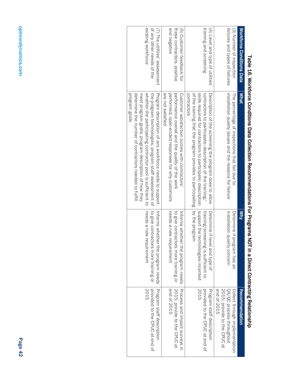|                                                                                  | able 16. Workforce Conditions Data Collection Recommendations For Programs NOI in a Direct Contracting Relationship                                                                                                                                                                                          |                                                                                                            |                                                                                                           |
|----------------------------------------------------------------------------------|--------------------------------------------------------------------------------------------------------------------------------------------------------------------------------------------------------------------------------------------------------------------------------------------------------------|------------------------------------------------------------------------------------------------------------|-----------------------------------------------------------------------------------------------------------|
| <b>Workforce Conditions Data</b>                                                 | What                                                                                                                                                                                                                                                                                                         | $\frac{1}{2}$                                                                                              | Recommendation                                                                                            |
| failures and types of failures<br>(3) Number of inspection                       | installation quality issues and the reasons for failure<br>The percentage of inspections that fail due to                                                                                                                                                                                                    | installation quality concern<br>Determine if program has an                                                | end of 2015<br>2015; provide to the CPUC at<br>QA/QC process throughout<br>Collect through implementation |
| training and screening<br>(4) Level and type of utilities'                       | skills required for contractors to participate; description<br>contractors<br>of the training that the program provides to participating   by the program<br>contractors to participate; description of the training/<br>Description of the screening the program does to allow                              | support the technologies incented<br>training/screening is sufficient to<br>Determine if level and type of | 2015<br>Program staff description<br>provided to the CPUC at end of                                       |
| and negative<br>these contractors, positive<br>(5) Customer feedback for         | are not satisfied<br>performed; open-ended responses for why customers<br>Customer satisfaction scores with contractors<br>performance overall and the quality of the work                                                                                                                                   | needs a new requirement<br>to give contractors more training or<br>Informs whether the program needs       | 2015; provide to the CPUC at<br>Process and impact surveys in<br>end of 2015                              |
| existing workforce<br>of any other needs of the<br>(7) The utilities' assessment | determine the number of contractors needed to fultil<br>the program technologies; program staff assessment of<br>Program description of any xorktorce needs to support<br>program goals<br>whether the participating contractor pool is sufficient to<br>meet program goals; program description of how they | needs a new requirement<br>to give contractors more training or<br>Informs whether the program needs       | Program staff description<br>2015<br>provided to the CPUC at end of                                       |

| I<br>$\frac{1}{2}$                                                                                                  |
|---------------------------------------------------------------------------------------------------------------------|
| ::::<br>$\vdots$<br>$\ddot{\tilde{\zeta}}$                                                                          |
| $\vdots$                                                                                                            |
| J                                                                                                                   |
| .<br>באורי הוא המייל הוא המייל הוא המייל המייל המייל היה היה היה היה היה המייל ה                                    |
| ı                                                                                                                   |
| -<br>-<br>-<br>-<br>-                                                                                               |
| 1                                                                                                                   |
| ייני ייראי לאון באו מוווים (אין היי איני ייני ייראי און באון האינווים (אין הייני איני ייני ייני ייני ייני ייני<br>ı |
| ī                                                                                                                   |
| J<br>J                                                                                                              |
|                                                                                                                     |
| ֚֘֝֬<br>$\overline{a}$<br>í                                                                                         |
| I                                                                                                                   |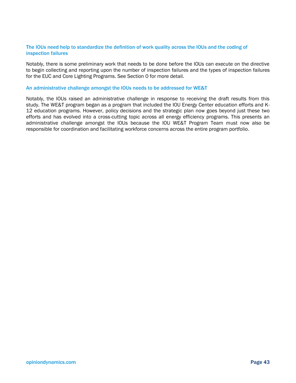#### The IOUs need help to standardize the definition of work quality across the IOUs and the coding of inspection failures

Notably, there is some preliminary work that needs to be done before the IOUs can execute on the directive to begin collecting and reporting upon the number of inspection failures and the types of inspection failures for the EUC and Core Lighting Programs. See Section 0 for more detail.

#### An administrative challenge amongst the IOUs needs to be addressed for WE&T

Notably, the IOUs raised an administrative challenge in response to receiving the draft results from this study. The WE&T program began as a program that included the IOU Energy Center education efforts and K-12 education programs. However, policy decisions and the strategic plan now goes beyond just these two efforts and has evolved into a cross-cutting topic across all energy efficiency programs. This presents an administrative challenge amongst the IOUs because the IOU WE&T Program Team must now also be responsible for coordination and facilitating workforce concerns across the entire program portfolio.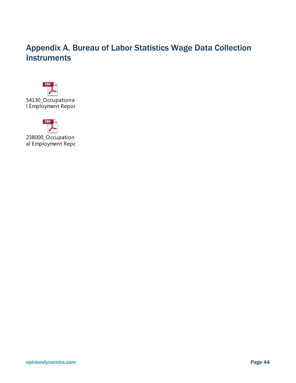# Appendix A. Bureau of Labor Statistics Wage Data Collection **Instruments**





opiniondynamics.com Page 44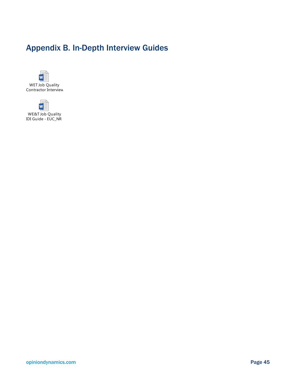# Appendix B. In-Depth Interview Guides